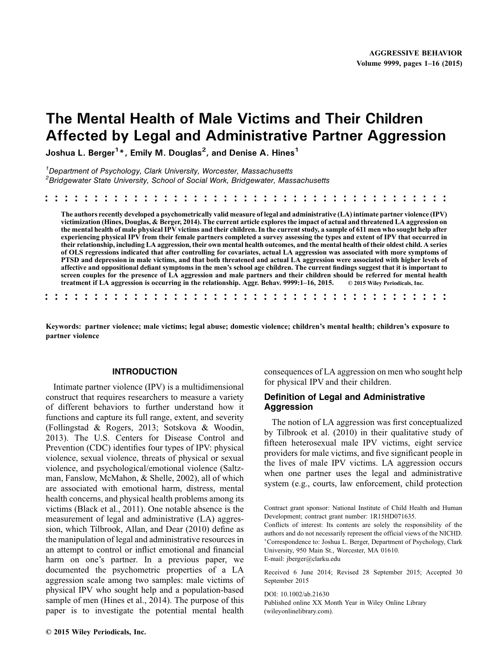# The Mental Health of Male Victims and Their Children Affected by Legal and Administrative Partner Aggression

Joshua L. Berger $^{1\,*}$ , Emily M. Douglas $^2$ , and Denise A. Hines $^1$ 

<sup>1</sup>Department of Psychology, Clark University, Worcester, Massachusetts <sup>2</sup> Bridgewater State University, School of Social Work, Bridgewater, Massachusetts

```
..................... .................... ..................... ....................
```
The authors recently developed a psychometrically valid measure of legal and administrative (LA) intimate partner violence (IPV) victimization (Hines, Douglas, & Berger, 2014). The current article explores the impact of actual and threatened LA aggression on the mental health of male physical IPV victims and their children. In the current study, a sample of 611 men who sought help after experiencing physical IPV from their female partners completed a survey assessing the types and extent of IPV that occurred in their relationship, including LA aggression, their own mental health outcomes, and the mental health of their oldest child. A series of OLS regressions indicated that after controlling for covariates, actual LA aggression was associated with more symptoms of PTSD and depression in male victims, and that both threatened and actual LA aggression were associated with higher levels of affective and oppositional defiant symptoms in the men's school age children. The current findings suggest that it is important to screen couples for the presence of LA aggression and male partners and their children should be referred for mental health treatment if LA aggression is occurring in the relationship. Aggr. Behav. 9999:1–16, 2015. © 2015 Wiley Periodicals, Inc.

..................... .................... ..................... ....................

Keywords: partner violence; male victims; legal abuse; domestic violence; children's mental health; children's exposure to partner violence

### INTRODUCTION

Intimate partner violence (IPV) is a multidimensional construct that requires researchers to measure a variety of different behaviors to further understand how it functions and capture its full range, extent, and severity (Follingstad & Rogers, 2013; Sotskova & Woodin, 2013). The U.S. Centers for Disease Control and Prevention (CDC) identifies four types of IPV: physical violence, sexual violence, threats of physical or sexual violence, and psychological/emotional violence (Saltzman, Fanslow, McMahon, & Shelle, 2002), all of which are associated with emotional harm, distress, mental health concerns, and physical health problems among its victims (Black et al., 2011). One notable absence is the measurement of legal and administrative (LA) aggression, which Tilbrook, Allan, and Dear (2010) define as the manipulation of legal and administrative resources in an attempt to control or inflict emotional and financial harm on one's partner. In a previous paper, we documented the psychometric properties of a LA aggression scale among two samples: male victims of physical IPV who sought help and a population-based sample of men (Hines et al., 2014). The purpose of this paper is to investigate the potential mental health

consequences of LA aggression on men who sought help for physical IPV and their children.

# Definition of Legal and Administrative Aggression

The notion of LA aggression was first conceptualized by Tilbrook et al. (2010) in their qualitative study of fifteen heterosexual male IPV victims, eight service providers for male victims, and five significant people in the lives of male IPV victims. LA aggression occurs when one partner uses the legal and administrative system (e.g., courts, law enforcement, child protection

Contract grant sponsor: National Institute of Child Health and Human Development; contract grant number: 1R15HD071635.

Conflicts of interest: Its contents are solely the responsibility of the authors and do not necessarily represent the official views of the NICHD. Correspondence to: Joshua L. Berger, Department of Psychology, Clark University, 950 Main St., Worcester, MA 01610. E-mail: jberger@clarku.edu

Received 6 June 2014; Revised 28 September 2015; Accepted 30 September 2015

DOI: 10.1002/ab.21630

Published online XX Month Year in Wiley Online Library (wileyonlinelibrary.com).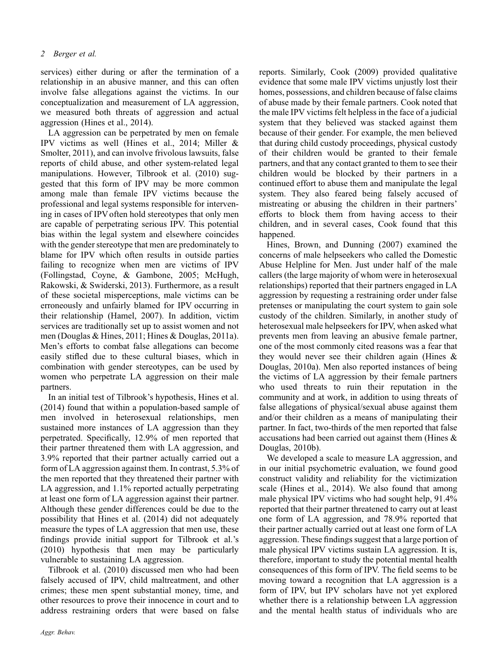services) either during or after the termination of a relationship in an abusive manner, and this can often involve false allegations against the victims. In our conceptualization and measurement of LA aggression, we measured both threats of aggression and actual aggression (Hines et al., 2014).

LA aggression can be perpetrated by men on female IPV victims as well (Hines et al., 2014; Miller & Smolter, 2011), and can involve frivolous lawsuits, false reports of child abuse, and other system-related legal manipulations. However, Tilbrook et al. (2010) suggested that this form of IPV may be more common among male than female IPV victims because the professional and legal systems responsible for intervening in cases of IPV often hold stereotypes that only men are capable of perpetrating serious IPV. This potential bias within the legal system and elsewhere coincides with the gender stereotype that men are predominately to blame for IPV which often results in outside parties failing to recognize when men are victims of IPV (Follingstad, Coyne, & Gambone, 2005; McHugh, Rakowski, & Swiderski, 2013). Furthermore, as a result of these societal misperceptions, male victims can be erroneously and unfairly blamed for IPV occurring in their relationship (Hamel, 2007). In addition, victim services are traditionally set up to assist women and not men (Douglas & Hines, 2011; Hines & Douglas, 2011a). Men's efforts to combat false allegations can become easily stifled due to these cultural biases, which in combination with gender stereotypes, can be used by women who perpetrate LA aggression on their male partners.

In an initial test of Tilbrook's hypothesis, Hines et al. (2014) found that within a population-based sample of men involved in heterosexual relationships, men sustained more instances of LA aggression than they perpetrated. Specifically, 12.9% of men reported that their partner threatened them with LA aggression, and 3.9% reported that their partner actually carried out a form of LA aggression against them. In contrast, 5.3% of the men reported that they threatened their partner with LA aggression, and 1.1% reported actually perpetrating at least one form of LA aggression against their partner. Although these gender differences could be due to the possibility that Hines et al. (2014) did not adequately measure the types of LA aggression that men use, these findings provide initial support for Tilbrook et al.'s (2010) hypothesis that men may be particularly vulnerable to sustaining LA aggression.

Tilbrook et al. (2010) discussed men who had been falsely accused of IPV, child maltreatment, and other crimes; these men spent substantial money, time, and other resources to prove their innocence in court and to address restraining orders that were based on false

reports. Similarly, Cook (2009) provided qualitative evidence that some male IPV victims unjustly lost their homes, possessions, and children because of false claims of abuse made by their female partners. Cook noted that the male IPV victims felt helpless in the face of a judicial system that they believed was stacked against them because of their gender. For example, the men believed that during child custody proceedings, physical custody of their children would be granted to their female partners, and that any contact granted to them to see their children would be blocked by their partners in a continued effort to abuse them and manipulate the legal system. They also feared being falsely accused of mistreating or abusing the children in their partners' efforts to block them from having access to their children, and in several cases, Cook found that this happened.

Hines, Brown, and Dunning (2007) examined the concerns of male helpseekers who called the Domestic Abuse Helpline for Men. Just under half of the male callers (the large majority of whom were in heterosexual relationships) reported that their partners engaged in LA aggression by requesting a restraining order under false pretenses or manipulating the court system to gain sole custody of the children. Similarly, in another study of heterosexual male helpseekers for IPV, when asked what prevents men from leaving an abusive female partner, one of the most commonly cited reasons was a fear that they would never see their children again (Hines & Douglas, 2010a). Men also reported instances of being the victims of LA aggression by their female partners who used threats to ruin their reputation in the community and at work, in addition to using threats of false allegations of physical/sexual abuse against them and/or their children as a means of manipulating their partner. In fact, two-thirds of the men reported that false accusations had been carried out against them (Hines & Douglas, 2010b).

We developed a scale to measure LA aggression, and in our initial psychometric evaluation, we found good construct validity and reliability for the victimization scale (Hines et al., 2014). We also found that among male physical IPV victims who had sought help, 91.4% reported that their partner threatened to carry out at least one form of LA aggression, and 78.9% reported that their partner actually carried out at least one form of LA aggression. These findings suggest that a large portion of male physical IPV victims sustain LA aggression. It is, therefore, important to study the potential mental health consequences of this form of IPV. The field seems to be moving toward a recognition that LA aggression is a form of IPV, but IPV scholars have not yet explored whether there is a relationship between LA aggression and the mental health status of individuals who are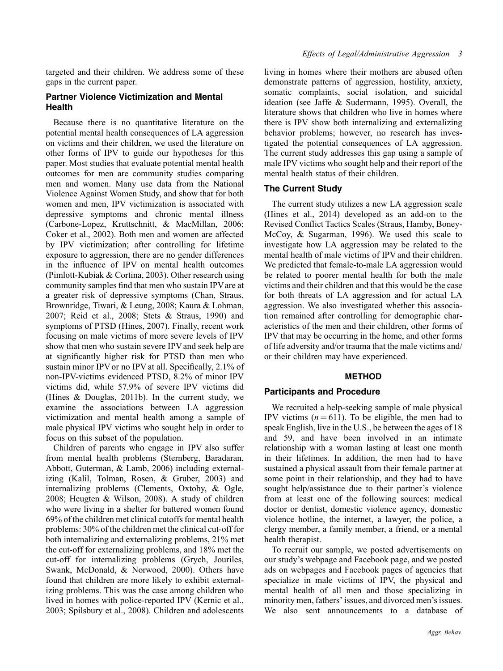targeted and their children. We address some of these gaps in the current paper.

# Partner Violence Victimization and Mental Health

Because there is no quantitative literature on the potential mental health consequences of LA aggression on victims and their children, we used the literature on other forms of IPV to guide our hypotheses for this paper. Most studies that evaluate potential mental health outcomes for men are community studies comparing men and women. Many use data from the National Violence Against Women Study, and show that for both women and men, IPV victimization is associated with depressive symptoms and chronic mental illness (Carbone-Lopez, Kruttschnitt, & MacMillan, 2006; Coker et al., 2002). Both men and women are affected by IPV victimization; after controlling for lifetime exposure to aggression, there are no gender differences in the influence of IPV on mental health outcomes (Pimlott-Kubiak & Cortina, 2003). Other research using community samples find that men who sustain IPVare at a greater risk of depressive symptoms (Chan, Straus, Brownridge, Tiwari, & Leung, 2008; Kaura & Lohman, 2007; Reid et al., 2008; Stets & Straus, 1990) and symptoms of PTSD (Hines, 2007). Finally, recent work focusing on male victims of more severe levels of IPV show that men who sustain severe IPV and seek help are at significantly higher risk for PTSD than men who sustain minor IPV or no IPV at all. Specifically, 2.1% of non-IPV-victims evidenced PTSD, 8.2% of minor IPV victims did, while 57.9% of severe IPV victims did (Hines & Douglas, 2011b). In the current study, we examine the associations between LA aggression victimization and mental health among a sample of male physical IPV victims who sought help in order to focus on this subset of the population.

Children of parents who engage in IPV also suffer from mental health problems (Sternberg, Baradaran, Abbott, Guterman, & Lamb, 2006) including externalizing (Kalil, Tolman, Rosen, & Gruber, 2003) and internalizing problems (Clements, Oxtoby, & Ogle, 2008; Heugten & Wilson, 2008). A study of children who were living in a shelter for battered women found 69% of the children met clinical cutoffs for mental health problems: 30% of the children met the clinical cut-off for both internalizing and externalizing problems, 21% met the cut-off for externalizing problems, and 18% met the cut-off for internalizing problems (Grych, Jouriles, Swank, McDonald, & Norwood, 2000). Others have found that children are more likely to exhibit externalizing problems. This was the case among children who lived in homes with police-reported IPV (Kernic et al., 2003; Spilsbury et al., 2008). Children and adolescents

living in homes where their mothers are abused often demonstrate patterns of aggression, hostility, anxiety, somatic complaints, social isolation, and suicidal ideation (see Jaffe & Sudermann, 1995). Overall, the literature shows that children who live in homes where there is IPV show both internalizing and externalizing behavior problems; however, no research has investigated the potential consequences of LA aggression. The current study addresses this gap using a sample of male IPV victims who sought help and their report of the mental health status of their children.

# The Current Study

The current study utilizes a new LA aggression scale (Hines et al., 2014) developed as an add-on to the Revised Conflict Tactics Scales (Straus, Hamby, Boney-McCoy, & Sugarman, 1996). We used this scale to investigate how LA aggression may be related to the mental health of male victims of IPV and their children. We predicted that female-to-male LA aggression would be related to poorer mental health for both the male victims and their children and that this would be the case for both threats of LA aggression and for actual LA aggression. We also investigated whether this association remained after controlling for demographic characteristics of the men and their children, other forms of IPV that may be occurring in the home, and other forms of life adversity and/or trauma that the male victims and/ or their children may have experienced.

# METHOD

# Participants and Procedure

We recruited a help-seeking sample of male physical IPV victims  $(n = 611)$ . To be eligible, the men had to speak English, live in the U.S., be between the ages of 18 and 59, and have been involved in an intimate relationship with a woman lasting at least one month in their lifetimes. In addition, the men had to have sustained a physical assault from their female partner at some point in their relationship, and they had to have sought help/assistance due to their partner's violence from at least one of the following sources: medical doctor or dentist, domestic violence agency, domestic violence hotline, the internet, a lawyer, the police, a clergy member, a family member, a friend, or a mental health therapist.

To recruit our sample, we posted advertisements on our study's webpage and Facebook page, and we posted ads on webpages and Facebook pages of agencies that specialize in male victims of IPV, the physical and mental health of all men and those specializing in minority men, fathers' issues, and divorced men's issues. We also sent announcements to a database of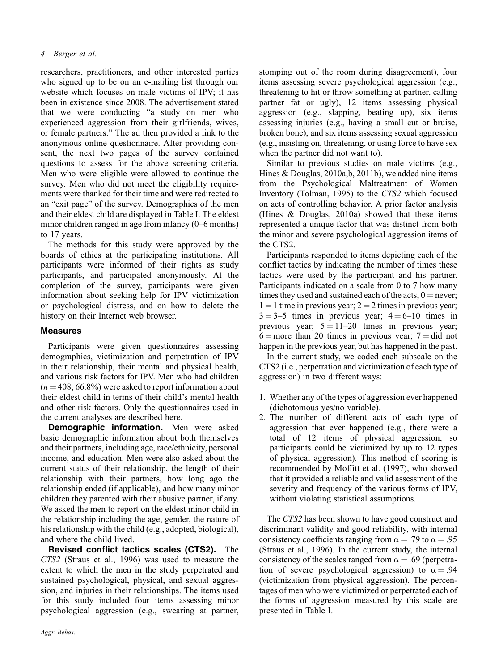researchers, practitioners, and other interested parties who signed up to be on an e-mailing list through our website which focuses on male victims of IPV; it has been in existence since 2008. The advertisement stated that we were conducting "a study on men who experienced aggression from their girlfriends, wives, or female partners." The ad then provided a link to the anonymous online questionnaire. After providing consent, the next two pages of the survey contained questions to assess for the above screening criteria. Men who were eligible were allowed to continue the survey. Men who did not meet the eligibility requirements were thanked for their time and were redirected to an "exit page" of the survey. Demographics of the men and their eldest child are displayed in Table I. The eldest minor children ranged in age from infancy (0–6 months) to 17 years.

The methods for this study were approved by the boards of ethics at the participating institutions. All participants were informed of their rights as study participants, and participated anonymously. At the completion of the survey, participants were given information about seeking help for IPV victimization or psychological distress, and on how to delete the history on their Internet web browser.

# Measures

Participants were given questionnaires assessing demographics, victimization and perpetration of IPV in their relationship, their mental and physical health, and various risk factors for IPV. Men who had children  $(n = 408; 66.8\%)$  were asked to report information about their eldest child in terms of their child's mental health and other risk factors. Only the questionnaires used in the current analyses are described here.

Demographic information. Men were asked basic demographic information about both themselves and their partners, including age, race/ethnicity, personal income, and education. Men were also asked about the current status of their relationship, the length of their relationship with their partners, how long ago the relationship ended (if applicable), and how many minor children they parented with their abusive partner, if any. We asked the men to report on the eldest minor child in the relationship including the age, gender, the nature of his relationship with the child (e.g., adopted, biological), and where the child lived.

Revised conflict tactics scales (CTS2). The CTS2 (Straus et al., 1996) was used to measure the extent to which the men in the study perpetrated and sustained psychological, physical, and sexual aggression, and injuries in their relationships. The items used for this study included four items assessing minor psychological aggression (e.g., swearing at partner, stomping out of the room during disagreement), four items assessing severe psychological aggression (e.g., threatening to hit or throw something at partner, calling partner fat or ugly), 12 items assessing physical aggression (e.g., slapping, beating up), six items assessing injuries (e.g., having a small cut or bruise, broken bone), and six items assessing sexual aggression (e.g., insisting on, threatening, or using force to have sex when the partner did not want to).

Similar to previous studies on male victims (e.g., Hines & Douglas, 2010a,b, 2011b), we added nine items from the Psychological Maltreatment of Women Inventory (Tolman, 1995) to the CTS2 which focused on acts of controlling behavior. A prior factor analysis (Hines & Douglas, 2010a) showed that these items represented a unique factor that was distinct from both the minor and severe psychological aggression items of the CTS2.

Participants responded to items depicting each of the conflict tactics by indicating the number of times these tactics were used by the participant and his partner. Participants indicated on a scale from 0 to 7 how many times they used and sustained each of the acts,  $0 =$  never;  $1 = 1$  time in previous year;  $2 = 2$  times in previous year;  $3 = 3-5$  times in previous year;  $4 = 6-10$  times in previous year;  $5 = 11-20$  times in previous year;  $6 =$  more than 20 times in previous year;  $7 =$  did not happen in the previous year, but has happened in the past.

In the current study, we coded each subscale on the CTS2 (i.e., perpetration and victimization of each type of aggression) in two different ways:

- 1. Whether any of the types of aggression ever happened (dichotomous yes/no variable).
- 2. The number of different acts of each type of aggression that ever happened (e.g., there were a total of 12 items of physical aggression, so participants could be victimized by up to 12 types of physical aggression). This method of scoring is recommended by Moffitt et al. (1997), who showed that it provided a reliable and valid assessment of the severity and frequency of the various forms of IPV, without violating statistical assumptions.

The CTS2 has been shown to have good construct and discriminant validity and good reliability, with internal consistency coefficients ranging from  $\alpha = .79$  to  $\alpha = .95$ (Straus et al., 1996). In the current study, the internal consistency of the scales ranged from  $\alpha = .69$  (perpetration of severe psychological aggression) to  $\alpha = .94$ (victimization from physical aggression). The percentages of men who were victimized or perpetrated each of the forms of aggression measured by this scale are presented in Table I.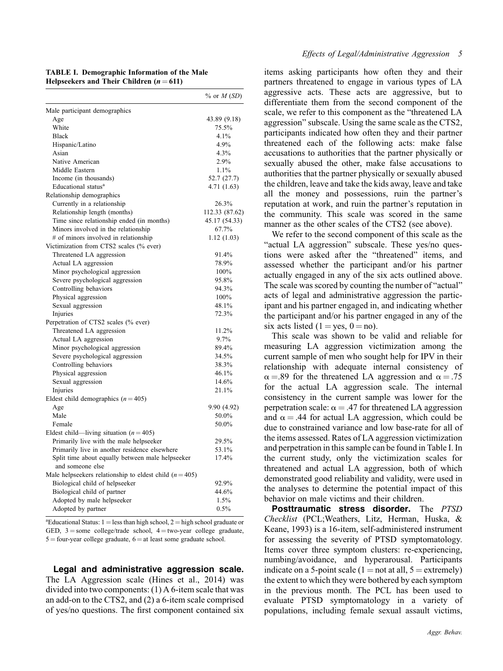TABLE I. Demographic Information of the Male Helpseekers and Their Children  $(n = 611)$ 

|                                                           | $%$ or $M(SD)$ |
|-----------------------------------------------------------|----------------|
| Male participant demographics                             |                |
| Age                                                       | 43.89 (9.18)   |
| White                                                     | 75.5%          |
| <b>Black</b>                                              | 4.1%           |
| Hispanic/Latino                                           | 4.9%           |
| Asian                                                     | 4.3%           |
| Native American                                           | 2.9%           |
| Middle Eastern                                            | 1.1%           |
| Income (in thousands)                                     | 52.7 (27.7)    |
| Educational status <sup>a</sup>                           | 4.71 (1.63)    |
| Relationship demographics                                 |                |
| Currently in a relationship                               | 26.3%          |
| Relationship length (months)                              | 112.33 (87.62) |
| Time since relationship ended (in months)                 | 45.17 (54.33)  |
| Minors involved in the relationship                       | 67.7%          |
| # of minors involved in relationship                      | 1.12(1.03)     |
| Victimization from CTS2 scales (% ever)                   |                |
| Threatened LA aggression                                  | 91.4%          |
| Actual LA aggression                                      | 78.9%          |
| Minor psychological aggression                            | 100%           |
| Severe psychological aggression                           | 95.8%          |
| Controlling behaviors                                     | 94.3%          |
| Physical aggression                                       | 100%           |
| Sexual aggression                                         | 48.1%          |
| Injuries                                                  | 72.3%          |
| Perpetration of CTS2 scales (% ever)                      |                |
| Threatened LA aggression                                  | 11.2%          |
| Actual LA aggression                                      | 9.7%           |
| Minor psychological aggression                            | 89.4%          |
| Severe psychological aggression                           | 34.5%          |
| Controlling behaviors                                     | 38.3%          |
| Physical aggression                                       | 46.1%          |
| Sexual aggression                                         | 14.6%          |
| Injuries                                                  | 21.1%          |
| Eldest child demographics $(n = 405)$                     |                |
| Age                                                       | 9.90 (4.92)    |
| Male                                                      | 50.0%          |
| Female                                                    | 50.0%          |
| Eldest child—living situation $(n = 405)$                 |                |
| Primarily live with the male helpseeker                   | 29.5%          |
| Primarily live in another residence elsewhere             | 53.1%          |
| Split time about equally between male helpseeker          | 17.4%          |
| and someone else                                          |                |
| Male helpseekers relationship to eldest child $(n = 405)$ |                |
| Biological child of helpseeker                            | 92.9%          |
| Biological child of partner                               | 44.6%          |
| Adopted by male helpseeker                                | 1.5%           |
| Adopted by partner                                        | 0.5%           |

 $a^2$ Educational Status: 1 = less than high school, 2 = high school graduate or GED,  $3 =$ some college/trade school,  $4 =$ two-year college graduate,  $5 =$  four-year college graduate,  $6 =$  at least some graduate school.

Legal and administrative aggression scale. The LA Aggression scale (Hines et al., 2014) was divided into two components: (1) A 6-item scale that was an add-on to the CTS2, and (2) a 6-item scale comprised of yes/no questions. The first component contained six items asking participants how often they and their partners threatened to engage in various types of LA aggressive acts. These acts are aggressive, but to differentiate them from the second component of the scale, we refer to this component as the "threatened LA aggression" subscale. Using the same scale as the CTS2, participants indicated how often they and their partner threatened each of the following acts: make false accusations to authorities that the partner physically or sexually abused the other, make false accusations to authorities that the partner physically or sexually abused the children, leave and take the kids away, leave and take all the money and possessions, ruin the partner's reputation at work, and ruin the partner's reputation in the community. This scale was scored in the same manner as the other scales of the CTS2 (see above).

We refer to the second component of this scale as the "actual LA aggression" subscale. These yes/no questions were asked after the "threatened" items, and assessed whether the participant and/or his partner actually engaged in any of the six acts outlined above. The scale was scored by counting the number of "actual" acts of legal and administrative aggression the participant and his partner engaged in, and indicating whether the participant and/or his partner engaged in any of the six acts listed  $(1 = yes, 0 = no)$ .

This scale was shown to be valid and reliable for measuring LA aggression victimization among the current sample of men who sought help for IPV in their relationship with adequate internal consistency of  $\alpha = .89$  for the threatened LA aggression and  $\alpha = .75$ for the actual LA aggression scale. The internal consistency in the current sample was lower for the perpetration scale:  $\alpha = .47$  for threatened LA aggression and  $\alpha = .44$  for actual LA aggression, which could be due to constrained variance and low base-rate for all of the items assessed. Rates of LA aggression victimization and perpetration in this sample can be found in Table I. In the current study, only the victimization scales for threatened and actual LA aggression, both of which demonstrated good reliability and validity, were used in the analyses to determine the potential impact of this behavior on male victims and their children.

Posttraumatic stress disorder. The PTSD Checklist (PCL;Weathers, Litz, Herman, Huska, & Keane, 1993) is a 16-item, self-administered instrument for assessing the severity of PTSD symptomatology. Items cover three symptom clusters: re-experiencing, numbing/avoidance, and hyperarousal. Participants indicate on a 5-point scale (1 = not at all,  $5 =$  extremely) the extent to which they were bothered by each symptom in the previous month. The PCL has been used to evaluate PTSD symptomatology in a variety of populations, including female sexual assault victims,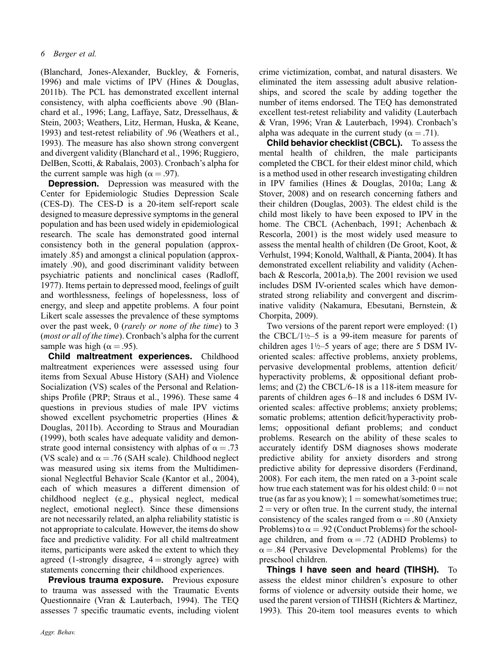(Blanchard, Jones-Alexander, Buckley, & Forneris, 1996) and male victims of IPV (Hines & Douglas, 2011b). The PCL has demonstrated excellent internal consistency, with alpha coefficients above .90 (Blanchard et al., 1996; Lang, Laffaye, Satz, Dresselhaus, & Stein, 2003; Weathers, Litz, Herman, Huska, & Keane, 1993) and test-retest reliability of .96 (Weathers et al., 1993). The measure has also shown strong convergent and divergent validity (Blanchard et al., 1996; Ruggiero, DelBen, Scotti, & Rabalais, 2003). Cronbach's alpha for the current sample was high ( $\alpha = .97$ ).

**Depression.** Depression was measured with the Center for Epidemiologic Studies Depression Scale (CES-D). The CES-D is a 20-item self-report scale designed to measure depressive symptoms in the general population and has been used widely in epidemiological research. The scale has demonstrated good internal consistency both in the general population (approximately .85) and amongst a clinical population (approximately .90), and good discriminant validity between psychiatric patients and nonclinical cases (Radloff, 1977). Items pertain to depressed mood, feelings of guilt and worthlessness, feelings of hopelessness, loss of energy, and sleep and appetite problems. A four point Likert scale assesses the prevalence of these symptoms over the past week, 0 (rarely or none of the time) to 3 (most or all of the time). Cronbach's alpha for the current sample was high ( $\alpha = .95$ ).

Child maltreatment experiences. Childhood maltreatment experiences were assessed using four items from Sexual Abuse History (SAH) and Violence Socialization (VS) scales of the Personal and Relationships Profile (PRP; Straus et al., 1996). These same 4 questions in previous studies of male IPV victims showed excellent psychometric properties (Hines & Douglas, 2011b). According to Straus and Mouradian (1999), both scales have adequate validity and demonstrate good internal consistency with alphas of  $\alpha = .73$ (VS scale) and  $\alpha = .76$  (SAH scale). Childhood neglect was measured using six items from the Multidimensional Neglectful Behavior Scale (Kantor et al., 2004), each of which measures a different dimension of childhood neglect (e.g., physical neglect, medical neglect, emotional neglect). Since these dimensions are not necessarily related, an alpha reliability statistic is not appropriate to calculate. However, the items do show face and predictive validity. For all child maltreatment items, participants were asked the extent to which they agreed (1-strongly disagree,  $4 =$ strongly agree) with statements concerning their childhood experiences.

Previous trauma exposure. Previous exposure to trauma was assessed with the Traumatic Events Questionnaire (Vran & Lauterbach, 1994). The TEQ assesses 7 specific traumatic events, including violent

crime victimization, combat, and natural disasters. We eliminated the item assessing adult abusive relationships, and scored the scale by adding together the number of items endorsed. The TEQ has demonstrated excellent test-retest reliability and validity (Lauterbach & Vran, 1996; Vran & Lauterbach, 1994). Cronbach's alpha was adequate in the current study ( $\alpha = .71$ ).

Child behavior checklist (CBCL). To assess the mental health of children, the male participants completed the CBCL for their eldest minor child, which is a method used in other research investigating children in IPV families (Hines & Douglas, 2010a; Lang & Stover, 2008) and on research concerning fathers and their children (Douglas, 2003). The eldest child is the child most likely to have been exposed to IPV in the home. The CBCL (Achenbach, 1991; Achenbach & Rescorla, 2001) is the most widely used measure to assess the mental health of children (De Groot, Koot, & Verhulst, 1994; Konold, Walthall, & Pianta, 2004). It has demonstrated excellent reliability and validity (Achenbach & Rescorla, 2001a,b). The 2001 revision we used includes DSM IV-oriented scales which have demonstrated strong reliability and convergent and discriminative validity (Nakamura, Ebesutani, Bernstein, & Chorpita, 2009).

Two versions of the parent report were employed: (1) the CBCL/1 $\frac{1}{2}$ –5 is a 99-item measure for parents of children ages  $1\frac{1}{2}$ –5 years of age; there are 5 DSM IVoriented scales: affective problems, anxiety problems, pervasive developmental problems, attention deficit/ hyperactivity problems, & oppositional defiant problems; and (2) the CBCL/6-18 is a 118-item measure for parents of children ages 6–18 and includes 6 DSM IVoriented scales: affective problems; anxiety problems; somatic problems; attention deficit/hyperactivity problems; oppositional defiant problems; and conduct problems. Research on the ability of these scales to accurately identify DSM diagnoses shows moderate predictive ability for anxiety disorders and strong predictive ability for depressive disorders (Ferdinand, 2008). For each item, the men rated on a 3-point scale how true each statement was for his oldest child:  $0 = not$ true (as far as you know);  $1 =$  somewhat/sometimes true;  $2 =$  very or often true. In the current study, the internal consistency of the scales ranged from  $\alpha = .80$  (Anxiety Problems) to  $\alpha = .92$  (Conduct Problems) for the schoolage children, and from  $\alpha = .72$  (ADHD Problems) to  $\alpha = .84$  (Pervasive Developmental Problems) for the preschool children.

Things I have seen and heard (TIHSH). To assess the eldest minor children's exposure to other forms of violence or adversity outside their home, we used the parent version of TIHSH (Richters & Martinez, 1993). This 20-item tool measures events to which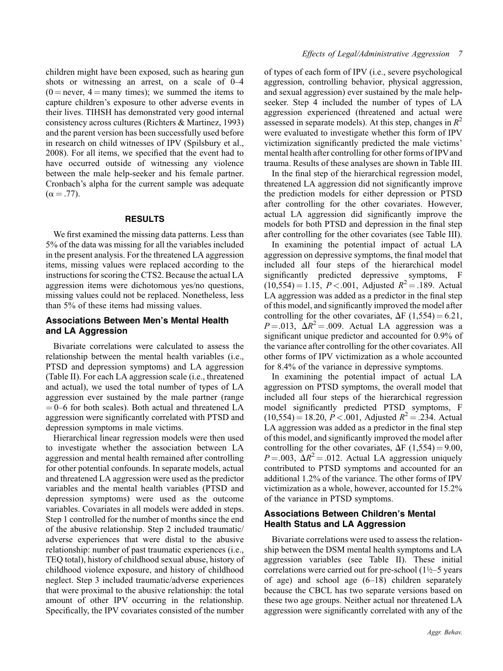children might have been exposed, such as hearing gun shots or witnessing an arrest, on a scale of 0–4  $(0 =$  never,  $4 =$  many times); we summed the items to capture children's exposure to other adverse events in their lives. TIHSH has demonstrated very good internal consistency across cultures (Richters & Martinez, 1993) and the parent version has been successfully used before in research on child witnesses of IPV (Spilsbury et al., 2008). For all items, we specified that the event had to have occurred outside of witnessing any violence between the male help-seeker and his female partner. Cronbach's alpha for the current sample was adequate  $(\alpha = .77)$ .

### RESULTS

We first examined the missing data patterns. Less than 5% of the data was missing for all the variables included in the present analysis. For the threatened LA aggression items, missing values were replaced according to the instructions for scoring the CTS2. Because the actual LA aggression items were dichotomous yes/no questions, missing values could not be replaced. Nonetheless, less than 5% of these items had missing values.

# Associations Between Men's Mental Health and LA Aggression

Bivariate correlations were calculated to assess the relationship between the mental health variables (i.e., PTSD and depression symptoms) and LA aggression (Table II). For each LA aggression scale (i.e., threatened and actual), we used the total number of types of LA aggression ever sustained by the male partner (range  $= 0$ –6 for both scales). Both actual and threatened LA aggression were significantly correlated with PTSD and depression symptoms in male victims.

Hierarchical linear regression models were then used to investigate whether the association between LA aggression and mental health remained after controlling for other potential confounds. In separate models, actual and threatened LA aggression were used as the predictor variables and the mental health variables (PTSD and depression symptoms) were used as the outcome variables. Covariates in all models were added in steps. Step 1 controlled for the number of months since the end of the abusive relationship. Step 2 included traumatic/ adverse experiences that were distal to the abusive relationship: number of past traumatic experiences (i.e., TEQ total), history of childhood sexual abuse, history of childhood violence exposure, and history of childhood neglect. Step 3 included traumatic/adverse experiences that were proximal to the abusive relationship: the total amount of other IPV occurring in the relationship. Specifically, the IPV covariates consisted of the number of types of each form of IPV (i.e., severe psychological aggression, controlling behavior, physical aggression, and sexual aggression) ever sustained by the male helpseeker. Step 4 included the number of types of LA aggression experienced (threatened and actual were assessed in separate models). At this step, changes in  $R^2$ were evaluated to investigate whether this form of IPV victimization significantly predicted the male victims' mental health after controlling for other forms of IPVand trauma. Results of these analyses are shown in Table III.

In the final step of the hierarchical regression model, threatened LA aggression did not significantly improve the prediction models for either depression or PTSD after controlling for the other covariates. However, actual LA aggression did significantly improve the models for both PTSD and depression in the final step after controlling for the other covariates (see Table III).

In examining the potential impact of actual LA aggression on depressive symptoms, the final model that included all four steps of the hierarchical model significantly predicted depressive symptoms, F  $(10,554) = 1.15$ ,  $P < .001$ , Adjusted  $R^2 = .189$ . Actual LA aggression was added as a predictor in the final step of this model, and significantly improved the model after controlling for the other covariates,  $\Delta F (1,554) = 6.21$ ,  $P = .013$ ,  $\Delta R^2 = .009$ . Actual LA aggression was a significant unique predictor and accounted for 0.9% of the variance after controlling for the other covariates. All other forms of IPV victimization as a whole accounted for 8.4% of the variance in depressive symptoms.

In examining the potential impact of actual LA aggression on PTSD symptoms, the overall model that included all four steps of the hierarchical regression model significantly predicted PTSD symptoms, F  $(10,554) = 18.20, P < .001,$  Adjusted  $R^2 = .234$ . Actual LA aggression was added as a predictor in the final step of this model, and significantly improved the model after controlling for the other covariates,  $\Delta F (1,554) = 9.00$ ,  $P = .003$ ,  $\Delta R^2 = .012$ . Actual LA aggression uniquely contributed to PTSD symptoms and accounted for an additional 1.2% of the variance. The other forms of IPV victimization as a whole, however, accounted for 15.2% of the variance in PTSD symptoms.

## Associations Between Children's Mental Health Status and LA Aggression

Bivariate correlations were used to assess the relationship between the DSM mental health symptoms and LA aggression variables (see Table II). These initial correlations were carried out for pre-school  $(1\frac{1}{2} - 5$  years of age) and school age (6–18) children separately because the CBCL has two separate versions based on these two age groups. Neither actual nor threatened LA aggression were significantly correlated with any of the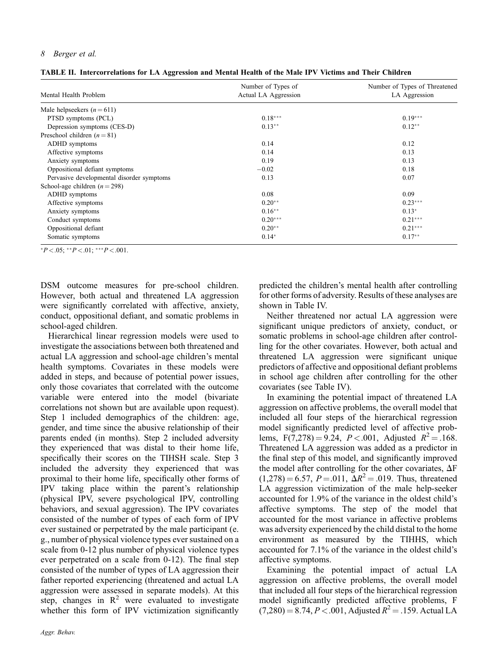#### 8 Berger et al.

|  | TABLE II. Intercorrelations for LA Aggression and Mental Health of the Male IPV Victims and Their Children |  |  |  |  |  |  |  |  |  |  |  |  |
|--|------------------------------------------------------------------------------------------------------------|--|--|--|--|--|--|--|--|--|--|--|--|
|--|------------------------------------------------------------------------------------------------------------|--|--|--|--|--|--|--|--|--|--|--|--|

| Mental Health Problem                     | Number of Types of<br>Actual LA Aggression | Number of Types of Threatened<br>LA Aggression |
|-------------------------------------------|--------------------------------------------|------------------------------------------------|
|                                           |                                            |                                                |
| Male helpseekers $(n=611)$                |                                            |                                                |
| PTSD symptoms (PCL)                       | $0.18***$                                  | $0.19***$                                      |
| Depression symptoms (CES-D)               | $0.13***$                                  | $0.12***$                                      |
| Preschool children $(n=81)$               |                                            |                                                |
| ADHD symptoms                             | 0.14                                       | 0.12                                           |
| Affective symptoms                        | 0.14                                       | 0.13                                           |
| Anxiety symptoms                          | 0.19                                       | 0.13                                           |
| Oppositional defiant symptoms             | $-0.02$                                    | 0.18                                           |
| Pervasive developmental disorder symptoms | 0.13                                       | 0.07                                           |
| School-age children $(n=298)$             |                                            |                                                |
| ADHD symptoms                             | 0.08                                       | 0.09                                           |
| Affective symptoms                        | $0.20**$                                   | $0.23***$                                      |
| Anxiety symptoms                          | $0.16**$                                   | $0.13*$                                        |
| Conduct symptoms                          | $0.20***$                                  | $0.21***$                                      |
| Oppositional defiant                      | $0.20**$                                   | $0.21***$                                      |
| Somatic symptoms                          | $0.14*$                                    | $0.17**$                                       |

 ${}^*P < .05;$   ${}^*{}^*P < .01;$   ${}^*{}^*{}^*P < .001.$ 

DSM outcome measures for pre-school children. However, both actual and threatened LA aggression were significantly correlated with affective, anxiety, conduct, oppositional defiant, and somatic problems in school-aged children.

Hierarchical linear regression models were used to investigate the associations between both threatened and actual LA aggression and school-age children's mental health symptoms. Covariates in these models were added in steps, and because of potential power issues, only those covariates that correlated with the outcome variable were entered into the model (bivariate correlations not shown but are available upon request). Step 1 included demographics of the children: age, gender, and time since the abusive relationship of their parents ended (in months). Step 2 included adversity they experienced that was distal to their home life, specifically their scores on the TIHSH scale. Step 3 included the adversity they experienced that was proximal to their home life, specifically other forms of IPV taking place within the parent's relationship (physical IPV, severe psychological IPV, controlling behaviors, and sexual aggression). The IPV covariates consisted of the number of types of each form of IPV ever sustained or perpetrated by the male participant (e. g., number of physical violence types ever sustained on a scale from 0-12 plus number of physical violence types ever perpetrated on a scale from 0-12). The final step consisted of the number of types of LA aggression their father reported experiencing (threatened and actual LA aggression were assessed in separate models). At this step, changes in  $\mathbb{R}^2$  were evaluated to investigate whether this form of IPV victimization significantly

predicted the children's mental health after controlling for other forms of adversity. Results of these analyses are shown in Table IV.

Neither threatened nor actual LA aggression were significant unique predictors of anxiety, conduct, or somatic problems in school-age children after controlling for the other covariates. However, both actual and threatened LA aggression were significant unique predictors of affective and oppositional defiant problems in school age children after controlling for the other covariates (see Table IV).

In examining the potential impact of threatened LA aggression on affective problems, the overall model that included all four steps of the hierarchical regression model significantly predicted level of affective problems,  $F(7,278) = 9.24$ ,  $P < .001$ , Adjusted  $R^2 = .168$ . Threatened LA aggression was added as a predictor in the final step of this model, and significantly improved the model after controlling for the other covariates,  $\Delta F$  $(1,278) = 6.57$ ,  $P = .011$ ,  $\Delta R^2 = .019$ . Thus, threatened LA aggression victimization of the male help-seeker accounted for 1.9% of the variance in the oldest child's affective symptoms. The step of the model that accounted for the most variance in affective problems was adversity experienced by the child distal to the home environment as measured by the TIHHS, which accounted for 7.1% of the variance in the oldest child's affective symptoms.

Examining the potential impact of actual LA aggression on affective problems, the overall model that included all four steps of the hierarchical regression model significantly predicted affective problems, F  $(7,280) = 8.74, P < .001,$  Adjusted  $R<sup>2</sup> = .159$ . Actual LA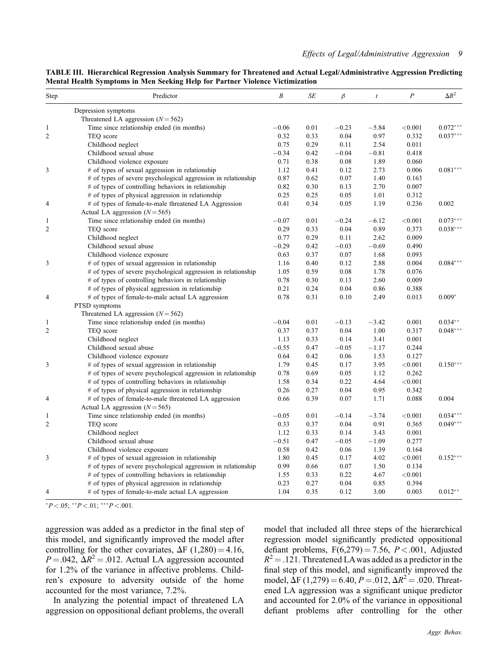| Depression symptoms<br>Threatened LA aggression $(N = 562)$<br>Time since relationship ended (in months)<br>$-0.06$<br>0.01<br>$-0.23$<br>$-5.84$<br>< 0.001<br>$\mathbf{1}$<br>2<br>TEQ score<br>0.32<br>0.33<br>0.04<br>0.97<br>0.332<br>2.54<br>Childhood neglect<br>0.75<br>0.29<br>0.11<br>0.011<br>$-0.34$<br>0.418<br>Childhood sexual abuse<br>0.42<br>$-0.04$<br>$-0.81$<br>0.71<br>0.38<br>1.89<br>Childhood violence exposure<br>0.08<br>0.060<br># of types of sexual aggression in relationship<br>0.006<br>3<br>1.12<br>0.41<br>0.12<br>2.73<br># of types of severe psychological aggression in relationship<br>0.07<br>0.87<br>0.62<br>1.40<br>0.163<br># of types of controlling behaviors in relationship<br>0.30<br>2.70<br>0.007<br>0.82<br>0.13<br>0.25<br>0.25<br>0.05<br>1.01<br>0.312<br># of types of physical aggression in relationship<br># of types of female-to-male threatened LA Aggression<br>0.41<br>0.34<br>0.05<br>1.19<br>0.236<br>4<br>Actual LA aggression $(N = 565)$<br>Time since relationship ended (in months)<br>$-0.07$<br>0.01<br>$-0.24$<br>$-6.12$<br>< 0.001<br>1<br>0.04<br>0.89<br>2<br>TEQ score<br>0.29<br>0.33<br>0.373<br>Childhood neglect<br>0.77<br>0.29<br>2.62<br>0.009<br>0.11<br>Childhood sexual abuse<br>$-0.29$<br>0.42<br>$-0.03$<br>$-0.69$<br>0.490<br>Childhood violence exposure<br>0.63<br>0.37<br>0.07<br>1.68<br>0.093<br>3<br># of types of sexual aggression in relationship<br>1.16<br>0.40<br>0.12<br>2.88<br>0.004<br># of types of severe psychological aggression in relationship<br>1.05<br>0.59<br>0.08<br>1.78<br>0.076<br># of types of controlling behaviors in relationship<br>0.009<br>0.78<br>0.30<br>0.13<br>2.60<br>0.24<br>0.04<br># of types of physical aggression in relationship<br>0.21<br>0.86<br>0.388<br>0.10<br>4<br># of types of female-to-male actual LA aggression<br>0.78<br>0.31<br>2.49<br>0.013<br>PTSD symptoms<br>Threatened LA aggression $(N = 562)$<br>Time since relationship ended (in months)<br>$-0.04$<br>0.01<br>$-0.13$<br>0.001<br>$-3.42$<br>$\mathbf{1}$<br>$\mathfrak{2}$<br>0.04<br>1.00<br>TEQ score<br>0.37<br>0.37<br>0.317<br>Childhood neglect<br>3.41<br>1.13<br>0.33<br>0.14<br>0.001<br>Childhood sexual abuse<br>$-0.05$<br>$-0.55$<br>0.47<br>$-1.17$<br>0.244<br>Childhood violence exposure<br>0.64<br>0.42<br>0.06<br>1.53<br>0.127<br>3<br># of types of sexual aggression in relationship<br>1.79<br>3.95<br>< 0.001<br>0.45<br>0.17<br># of types of severe psychological aggression in relationship<br>0.78<br>0.69<br>0.05<br>1.12<br>0.262<br>0.22<br>4.64<br>< 0.001<br># of types of controlling behaviors in relationship<br>1.58<br>0.34<br># of types of physical aggression in relationship<br>0.26<br>0.27<br>0.04<br>0.95<br>0.342<br># of types of female-to-male threatened LA aggression<br>0.66<br>0.39<br>0.07<br>1.71<br>0.088<br>4<br>Actual LA aggression $(N = 565)$<br>Time since relationship ended (in months)<br>$-0.05$<br>0.01<br>$-0.14$<br>$-3.74$<br>< 0.001<br>1<br>$\overline{c}$<br>0.37<br>0.04<br>0.91<br>TEQ score<br>0.33<br>0.365<br>Childhood neglect<br>0.001<br>1.12<br>0.33<br>0.14<br>3.43<br>Childhood sexual abuse<br>$-0.51$<br>$-1.09$<br>0.277<br>0.47<br>$-0.05$<br>0.58<br>Childhood violence exposure<br>0.42<br>0.06<br>1.39<br>0.164<br># of types of sexual aggression in relationship<br>3<br>1.80<br>0.45<br>0.17<br>4.02<br>< 0.001<br># of types of severe psychological aggression in relationship<br>0.99<br>0.07<br>1.50<br>0.134<br>0.66 | Step | Predictor | B | SE | $\beta$ | $\boldsymbol{t}$ | $\boldsymbol{P}$ | $\Delta R^2$ |
|-----------------------------------------------------------------------------------------------------------------------------------------------------------------------------------------------------------------------------------------------------------------------------------------------------------------------------------------------------------------------------------------------------------------------------------------------------------------------------------------------------------------------------------------------------------------------------------------------------------------------------------------------------------------------------------------------------------------------------------------------------------------------------------------------------------------------------------------------------------------------------------------------------------------------------------------------------------------------------------------------------------------------------------------------------------------------------------------------------------------------------------------------------------------------------------------------------------------------------------------------------------------------------------------------------------------------------------------------------------------------------------------------------------------------------------------------------------------------------------------------------------------------------------------------------------------------------------------------------------------------------------------------------------------------------------------------------------------------------------------------------------------------------------------------------------------------------------------------------------------------------------------------------------------------------------------------------------------------------------------------------------------------------------------------------------------------------------------------------------------------------------------------------------------------------------------------------------------------------------------------------------------------------------------------------------------------------------------------------------------------------------------------------------------------------------------------------------------------------------------------------------------------------------------------------------------------------------------------------------------------------------------------------------------------------------------------------------------------------------------------------------------------------------------------------------------------------------------------------------------------------------------------------------------------------------------------------------------------------------------------------------------------------------------------------------------------------------------------------------------------------------------------------------------------------------------------------------------------------------------------------------------------------------------------------------------------------------------------------------------------------------------------------------------------------------------------------------------------------------------------------------------------------------------------------|------|-----------|---|----|---------|------------------|------------------|--------------|
|                                                                                                                                                                                                                                                                                                                                                                                                                                                                                                                                                                                                                                                                                                                                                                                                                                                                                                                                                                                                                                                                                                                                                                                                                                                                                                                                                                                                                                                                                                                                                                                                                                                                                                                                                                                                                                                                                                                                                                                                                                                                                                                                                                                                                                                                                                                                                                                                                                                                                                                                                                                                                                                                                                                                                                                                                                                                                                                                                                                                                                                                                                                                                                                                                                                                                                                                                                                                                                                                                                                                                     |      |           |   |    |         |                  |                  |              |
|                                                                                                                                                                                                                                                                                                                                                                                                                                                                                                                                                                                                                                                                                                                                                                                                                                                                                                                                                                                                                                                                                                                                                                                                                                                                                                                                                                                                                                                                                                                                                                                                                                                                                                                                                                                                                                                                                                                                                                                                                                                                                                                                                                                                                                                                                                                                                                                                                                                                                                                                                                                                                                                                                                                                                                                                                                                                                                                                                                                                                                                                                                                                                                                                                                                                                                                                                                                                                                                                                                                                                     |      |           |   |    |         |                  |                  |              |
|                                                                                                                                                                                                                                                                                                                                                                                                                                                                                                                                                                                                                                                                                                                                                                                                                                                                                                                                                                                                                                                                                                                                                                                                                                                                                                                                                                                                                                                                                                                                                                                                                                                                                                                                                                                                                                                                                                                                                                                                                                                                                                                                                                                                                                                                                                                                                                                                                                                                                                                                                                                                                                                                                                                                                                                                                                                                                                                                                                                                                                                                                                                                                                                                                                                                                                                                                                                                                                                                                                                                                     |      |           |   |    |         |                  |                  | $0.072***$   |
|                                                                                                                                                                                                                                                                                                                                                                                                                                                                                                                                                                                                                                                                                                                                                                                                                                                                                                                                                                                                                                                                                                                                                                                                                                                                                                                                                                                                                                                                                                                                                                                                                                                                                                                                                                                                                                                                                                                                                                                                                                                                                                                                                                                                                                                                                                                                                                                                                                                                                                                                                                                                                                                                                                                                                                                                                                                                                                                                                                                                                                                                                                                                                                                                                                                                                                                                                                                                                                                                                                                                                     |      |           |   |    |         |                  |                  | $0.037***$   |
|                                                                                                                                                                                                                                                                                                                                                                                                                                                                                                                                                                                                                                                                                                                                                                                                                                                                                                                                                                                                                                                                                                                                                                                                                                                                                                                                                                                                                                                                                                                                                                                                                                                                                                                                                                                                                                                                                                                                                                                                                                                                                                                                                                                                                                                                                                                                                                                                                                                                                                                                                                                                                                                                                                                                                                                                                                                                                                                                                                                                                                                                                                                                                                                                                                                                                                                                                                                                                                                                                                                                                     |      |           |   |    |         |                  |                  |              |
|                                                                                                                                                                                                                                                                                                                                                                                                                                                                                                                                                                                                                                                                                                                                                                                                                                                                                                                                                                                                                                                                                                                                                                                                                                                                                                                                                                                                                                                                                                                                                                                                                                                                                                                                                                                                                                                                                                                                                                                                                                                                                                                                                                                                                                                                                                                                                                                                                                                                                                                                                                                                                                                                                                                                                                                                                                                                                                                                                                                                                                                                                                                                                                                                                                                                                                                                                                                                                                                                                                                                                     |      |           |   |    |         |                  |                  |              |
|                                                                                                                                                                                                                                                                                                                                                                                                                                                                                                                                                                                                                                                                                                                                                                                                                                                                                                                                                                                                                                                                                                                                                                                                                                                                                                                                                                                                                                                                                                                                                                                                                                                                                                                                                                                                                                                                                                                                                                                                                                                                                                                                                                                                                                                                                                                                                                                                                                                                                                                                                                                                                                                                                                                                                                                                                                                                                                                                                                                                                                                                                                                                                                                                                                                                                                                                                                                                                                                                                                                                                     |      |           |   |    |         |                  |                  |              |
|                                                                                                                                                                                                                                                                                                                                                                                                                                                                                                                                                                                                                                                                                                                                                                                                                                                                                                                                                                                                                                                                                                                                                                                                                                                                                                                                                                                                                                                                                                                                                                                                                                                                                                                                                                                                                                                                                                                                                                                                                                                                                                                                                                                                                                                                                                                                                                                                                                                                                                                                                                                                                                                                                                                                                                                                                                                                                                                                                                                                                                                                                                                                                                                                                                                                                                                                                                                                                                                                                                                                                     |      |           |   |    |         |                  |                  | $0.081***$   |
|                                                                                                                                                                                                                                                                                                                                                                                                                                                                                                                                                                                                                                                                                                                                                                                                                                                                                                                                                                                                                                                                                                                                                                                                                                                                                                                                                                                                                                                                                                                                                                                                                                                                                                                                                                                                                                                                                                                                                                                                                                                                                                                                                                                                                                                                                                                                                                                                                                                                                                                                                                                                                                                                                                                                                                                                                                                                                                                                                                                                                                                                                                                                                                                                                                                                                                                                                                                                                                                                                                                                                     |      |           |   |    |         |                  |                  |              |
|                                                                                                                                                                                                                                                                                                                                                                                                                                                                                                                                                                                                                                                                                                                                                                                                                                                                                                                                                                                                                                                                                                                                                                                                                                                                                                                                                                                                                                                                                                                                                                                                                                                                                                                                                                                                                                                                                                                                                                                                                                                                                                                                                                                                                                                                                                                                                                                                                                                                                                                                                                                                                                                                                                                                                                                                                                                                                                                                                                                                                                                                                                                                                                                                                                                                                                                                                                                                                                                                                                                                                     |      |           |   |    |         |                  |                  |              |
|                                                                                                                                                                                                                                                                                                                                                                                                                                                                                                                                                                                                                                                                                                                                                                                                                                                                                                                                                                                                                                                                                                                                                                                                                                                                                                                                                                                                                                                                                                                                                                                                                                                                                                                                                                                                                                                                                                                                                                                                                                                                                                                                                                                                                                                                                                                                                                                                                                                                                                                                                                                                                                                                                                                                                                                                                                                                                                                                                                                                                                                                                                                                                                                                                                                                                                                                                                                                                                                                                                                                                     |      |           |   |    |         |                  |                  |              |
|                                                                                                                                                                                                                                                                                                                                                                                                                                                                                                                                                                                                                                                                                                                                                                                                                                                                                                                                                                                                                                                                                                                                                                                                                                                                                                                                                                                                                                                                                                                                                                                                                                                                                                                                                                                                                                                                                                                                                                                                                                                                                                                                                                                                                                                                                                                                                                                                                                                                                                                                                                                                                                                                                                                                                                                                                                                                                                                                                                                                                                                                                                                                                                                                                                                                                                                                                                                                                                                                                                                                                     |      |           |   |    |         |                  |                  | 0.002        |
|                                                                                                                                                                                                                                                                                                                                                                                                                                                                                                                                                                                                                                                                                                                                                                                                                                                                                                                                                                                                                                                                                                                                                                                                                                                                                                                                                                                                                                                                                                                                                                                                                                                                                                                                                                                                                                                                                                                                                                                                                                                                                                                                                                                                                                                                                                                                                                                                                                                                                                                                                                                                                                                                                                                                                                                                                                                                                                                                                                                                                                                                                                                                                                                                                                                                                                                                                                                                                                                                                                                                                     |      |           |   |    |         |                  |                  |              |
|                                                                                                                                                                                                                                                                                                                                                                                                                                                                                                                                                                                                                                                                                                                                                                                                                                                                                                                                                                                                                                                                                                                                                                                                                                                                                                                                                                                                                                                                                                                                                                                                                                                                                                                                                                                                                                                                                                                                                                                                                                                                                                                                                                                                                                                                                                                                                                                                                                                                                                                                                                                                                                                                                                                                                                                                                                                                                                                                                                                                                                                                                                                                                                                                                                                                                                                                                                                                                                                                                                                                                     |      |           |   |    |         |                  |                  | $0.073***$   |
|                                                                                                                                                                                                                                                                                                                                                                                                                                                                                                                                                                                                                                                                                                                                                                                                                                                                                                                                                                                                                                                                                                                                                                                                                                                                                                                                                                                                                                                                                                                                                                                                                                                                                                                                                                                                                                                                                                                                                                                                                                                                                                                                                                                                                                                                                                                                                                                                                                                                                                                                                                                                                                                                                                                                                                                                                                                                                                                                                                                                                                                                                                                                                                                                                                                                                                                                                                                                                                                                                                                                                     |      |           |   |    |         |                  |                  | $0.038***$   |
|                                                                                                                                                                                                                                                                                                                                                                                                                                                                                                                                                                                                                                                                                                                                                                                                                                                                                                                                                                                                                                                                                                                                                                                                                                                                                                                                                                                                                                                                                                                                                                                                                                                                                                                                                                                                                                                                                                                                                                                                                                                                                                                                                                                                                                                                                                                                                                                                                                                                                                                                                                                                                                                                                                                                                                                                                                                                                                                                                                                                                                                                                                                                                                                                                                                                                                                                                                                                                                                                                                                                                     |      |           |   |    |         |                  |                  |              |
|                                                                                                                                                                                                                                                                                                                                                                                                                                                                                                                                                                                                                                                                                                                                                                                                                                                                                                                                                                                                                                                                                                                                                                                                                                                                                                                                                                                                                                                                                                                                                                                                                                                                                                                                                                                                                                                                                                                                                                                                                                                                                                                                                                                                                                                                                                                                                                                                                                                                                                                                                                                                                                                                                                                                                                                                                                                                                                                                                                                                                                                                                                                                                                                                                                                                                                                                                                                                                                                                                                                                                     |      |           |   |    |         |                  |                  |              |
|                                                                                                                                                                                                                                                                                                                                                                                                                                                                                                                                                                                                                                                                                                                                                                                                                                                                                                                                                                                                                                                                                                                                                                                                                                                                                                                                                                                                                                                                                                                                                                                                                                                                                                                                                                                                                                                                                                                                                                                                                                                                                                                                                                                                                                                                                                                                                                                                                                                                                                                                                                                                                                                                                                                                                                                                                                                                                                                                                                                                                                                                                                                                                                                                                                                                                                                                                                                                                                                                                                                                                     |      |           |   |    |         |                  |                  |              |
|                                                                                                                                                                                                                                                                                                                                                                                                                                                                                                                                                                                                                                                                                                                                                                                                                                                                                                                                                                                                                                                                                                                                                                                                                                                                                                                                                                                                                                                                                                                                                                                                                                                                                                                                                                                                                                                                                                                                                                                                                                                                                                                                                                                                                                                                                                                                                                                                                                                                                                                                                                                                                                                                                                                                                                                                                                                                                                                                                                                                                                                                                                                                                                                                                                                                                                                                                                                                                                                                                                                                                     |      |           |   |    |         |                  |                  | $0.084***$   |
|                                                                                                                                                                                                                                                                                                                                                                                                                                                                                                                                                                                                                                                                                                                                                                                                                                                                                                                                                                                                                                                                                                                                                                                                                                                                                                                                                                                                                                                                                                                                                                                                                                                                                                                                                                                                                                                                                                                                                                                                                                                                                                                                                                                                                                                                                                                                                                                                                                                                                                                                                                                                                                                                                                                                                                                                                                                                                                                                                                                                                                                                                                                                                                                                                                                                                                                                                                                                                                                                                                                                                     |      |           |   |    |         |                  |                  |              |
|                                                                                                                                                                                                                                                                                                                                                                                                                                                                                                                                                                                                                                                                                                                                                                                                                                                                                                                                                                                                                                                                                                                                                                                                                                                                                                                                                                                                                                                                                                                                                                                                                                                                                                                                                                                                                                                                                                                                                                                                                                                                                                                                                                                                                                                                                                                                                                                                                                                                                                                                                                                                                                                                                                                                                                                                                                                                                                                                                                                                                                                                                                                                                                                                                                                                                                                                                                                                                                                                                                                                                     |      |           |   |    |         |                  |                  |              |
|                                                                                                                                                                                                                                                                                                                                                                                                                                                                                                                                                                                                                                                                                                                                                                                                                                                                                                                                                                                                                                                                                                                                                                                                                                                                                                                                                                                                                                                                                                                                                                                                                                                                                                                                                                                                                                                                                                                                                                                                                                                                                                                                                                                                                                                                                                                                                                                                                                                                                                                                                                                                                                                                                                                                                                                                                                                                                                                                                                                                                                                                                                                                                                                                                                                                                                                                                                                                                                                                                                                                                     |      |           |   |    |         |                  |                  |              |
|                                                                                                                                                                                                                                                                                                                                                                                                                                                                                                                                                                                                                                                                                                                                                                                                                                                                                                                                                                                                                                                                                                                                                                                                                                                                                                                                                                                                                                                                                                                                                                                                                                                                                                                                                                                                                                                                                                                                                                                                                                                                                                                                                                                                                                                                                                                                                                                                                                                                                                                                                                                                                                                                                                                                                                                                                                                                                                                                                                                                                                                                                                                                                                                                                                                                                                                                                                                                                                                                                                                                                     |      |           |   |    |         |                  |                  | $0.009*$     |
|                                                                                                                                                                                                                                                                                                                                                                                                                                                                                                                                                                                                                                                                                                                                                                                                                                                                                                                                                                                                                                                                                                                                                                                                                                                                                                                                                                                                                                                                                                                                                                                                                                                                                                                                                                                                                                                                                                                                                                                                                                                                                                                                                                                                                                                                                                                                                                                                                                                                                                                                                                                                                                                                                                                                                                                                                                                                                                                                                                                                                                                                                                                                                                                                                                                                                                                                                                                                                                                                                                                                                     |      |           |   |    |         |                  |                  |              |
|                                                                                                                                                                                                                                                                                                                                                                                                                                                                                                                                                                                                                                                                                                                                                                                                                                                                                                                                                                                                                                                                                                                                                                                                                                                                                                                                                                                                                                                                                                                                                                                                                                                                                                                                                                                                                                                                                                                                                                                                                                                                                                                                                                                                                                                                                                                                                                                                                                                                                                                                                                                                                                                                                                                                                                                                                                                                                                                                                                                                                                                                                                                                                                                                                                                                                                                                                                                                                                                                                                                                                     |      |           |   |    |         |                  |                  |              |
|                                                                                                                                                                                                                                                                                                                                                                                                                                                                                                                                                                                                                                                                                                                                                                                                                                                                                                                                                                                                                                                                                                                                                                                                                                                                                                                                                                                                                                                                                                                                                                                                                                                                                                                                                                                                                                                                                                                                                                                                                                                                                                                                                                                                                                                                                                                                                                                                                                                                                                                                                                                                                                                                                                                                                                                                                                                                                                                                                                                                                                                                                                                                                                                                                                                                                                                                                                                                                                                                                                                                                     |      |           |   |    |         |                  |                  | $0.034**$    |
|                                                                                                                                                                                                                                                                                                                                                                                                                                                                                                                                                                                                                                                                                                                                                                                                                                                                                                                                                                                                                                                                                                                                                                                                                                                                                                                                                                                                                                                                                                                                                                                                                                                                                                                                                                                                                                                                                                                                                                                                                                                                                                                                                                                                                                                                                                                                                                                                                                                                                                                                                                                                                                                                                                                                                                                                                                                                                                                                                                                                                                                                                                                                                                                                                                                                                                                                                                                                                                                                                                                                                     |      |           |   |    |         |                  |                  | $0.048***$   |
|                                                                                                                                                                                                                                                                                                                                                                                                                                                                                                                                                                                                                                                                                                                                                                                                                                                                                                                                                                                                                                                                                                                                                                                                                                                                                                                                                                                                                                                                                                                                                                                                                                                                                                                                                                                                                                                                                                                                                                                                                                                                                                                                                                                                                                                                                                                                                                                                                                                                                                                                                                                                                                                                                                                                                                                                                                                                                                                                                                                                                                                                                                                                                                                                                                                                                                                                                                                                                                                                                                                                                     |      |           |   |    |         |                  |                  |              |
|                                                                                                                                                                                                                                                                                                                                                                                                                                                                                                                                                                                                                                                                                                                                                                                                                                                                                                                                                                                                                                                                                                                                                                                                                                                                                                                                                                                                                                                                                                                                                                                                                                                                                                                                                                                                                                                                                                                                                                                                                                                                                                                                                                                                                                                                                                                                                                                                                                                                                                                                                                                                                                                                                                                                                                                                                                                                                                                                                                                                                                                                                                                                                                                                                                                                                                                                                                                                                                                                                                                                                     |      |           |   |    |         |                  |                  |              |
|                                                                                                                                                                                                                                                                                                                                                                                                                                                                                                                                                                                                                                                                                                                                                                                                                                                                                                                                                                                                                                                                                                                                                                                                                                                                                                                                                                                                                                                                                                                                                                                                                                                                                                                                                                                                                                                                                                                                                                                                                                                                                                                                                                                                                                                                                                                                                                                                                                                                                                                                                                                                                                                                                                                                                                                                                                                                                                                                                                                                                                                                                                                                                                                                                                                                                                                                                                                                                                                                                                                                                     |      |           |   |    |         |                  |                  |              |
|                                                                                                                                                                                                                                                                                                                                                                                                                                                                                                                                                                                                                                                                                                                                                                                                                                                                                                                                                                                                                                                                                                                                                                                                                                                                                                                                                                                                                                                                                                                                                                                                                                                                                                                                                                                                                                                                                                                                                                                                                                                                                                                                                                                                                                                                                                                                                                                                                                                                                                                                                                                                                                                                                                                                                                                                                                                                                                                                                                                                                                                                                                                                                                                                                                                                                                                                                                                                                                                                                                                                                     |      |           |   |    |         |                  |                  | $0.150***$   |
|                                                                                                                                                                                                                                                                                                                                                                                                                                                                                                                                                                                                                                                                                                                                                                                                                                                                                                                                                                                                                                                                                                                                                                                                                                                                                                                                                                                                                                                                                                                                                                                                                                                                                                                                                                                                                                                                                                                                                                                                                                                                                                                                                                                                                                                                                                                                                                                                                                                                                                                                                                                                                                                                                                                                                                                                                                                                                                                                                                                                                                                                                                                                                                                                                                                                                                                                                                                                                                                                                                                                                     |      |           |   |    |         |                  |                  |              |
|                                                                                                                                                                                                                                                                                                                                                                                                                                                                                                                                                                                                                                                                                                                                                                                                                                                                                                                                                                                                                                                                                                                                                                                                                                                                                                                                                                                                                                                                                                                                                                                                                                                                                                                                                                                                                                                                                                                                                                                                                                                                                                                                                                                                                                                                                                                                                                                                                                                                                                                                                                                                                                                                                                                                                                                                                                                                                                                                                                                                                                                                                                                                                                                                                                                                                                                                                                                                                                                                                                                                                     |      |           |   |    |         |                  |                  |              |
|                                                                                                                                                                                                                                                                                                                                                                                                                                                                                                                                                                                                                                                                                                                                                                                                                                                                                                                                                                                                                                                                                                                                                                                                                                                                                                                                                                                                                                                                                                                                                                                                                                                                                                                                                                                                                                                                                                                                                                                                                                                                                                                                                                                                                                                                                                                                                                                                                                                                                                                                                                                                                                                                                                                                                                                                                                                                                                                                                                                                                                                                                                                                                                                                                                                                                                                                                                                                                                                                                                                                                     |      |           |   |    |         |                  |                  |              |
|                                                                                                                                                                                                                                                                                                                                                                                                                                                                                                                                                                                                                                                                                                                                                                                                                                                                                                                                                                                                                                                                                                                                                                                                                                                                                                                                                                                                                                                                                                                                                                                                                                                                                                                                                                                                                                                                                                                                                                                                                                                                                                                                                                                                                                                                                                                                                                                                                                                                                                                                                                                                                                                                                                                                                                                                                                                                                                                                                                                                                                                                                                                                                                                                                                                                                                                                                                                                                                                                                                                                                     |      |           |   |    |         |                  |                  | 0.004        |
|                                                                                                                                                                                                                                                                                                                                                                                                                                                                                                                                                                                                                                                                                                                                                                                                                                                                                                                                                                                                                                                                                                                                                                                                                                                                                                                                                                                                                                                                                                                                                                                                                                                                                                                                                                                                                                                                                                                                                                                                                                                                                                                                                                                                                                                                                                                                                                                                                                                                                                                                                                                                                                                                                                                                                                                                                                                                                                                                                                                                                                                                                                                                                                                                                                                                                                                                                                                                                                                                                                                                                     |      |           |   |    |         |                  |                  |              |
|                                                                                                                                                                                                                                                                                                                                                                                                                                                                                                                                                                                                                                                                                                                                                                                                                                                                                                                                                                                                                                                                                                                                                                                                                                                                                                                                                                                                                                                                                                                                                                                                                                                                                                                                                                                                                                                                                                                                                                                                                                                                                                                                                                                                                                                                                                                                                                                                                                                                                                                                                                                                                                                                                                                                                                                                                                                                                                                                                                                                                                                                                                                                                                                                                                                                                                                                                                                                                                                                                                                                                     |      |           |   |    |         |                  |                  | $0.034***$   |
|                                                                                                                                                                                                                                                                                                                                                                                                                                                                                                                                                                                                                                                                                                                                                                                                                                                                                                                                                                                                                                                                                                                                                                                                                                                                                                                                                                                                                                                                                                                                                                                                                                                                                                                                                                                                                                                                                                                                                                                                                                                                                                                                                                                                                                                                                                                                                                                                                                                                                                                                                                                                                                                                                                                                                                                                                                                                                                                                                                                                                                                                                                                                                                                                                                                                                                                                                                                                                                                                                                                                                     |      |           |   |    |         |                  |                  | $0.049***$   |
|                                                                                                                                                                                                                                                                                                                                                                                                                                                                                                                                                                                                                                                                                                                                                                                                                                                                                                                                                                                                                                                                                                                                                                                                                                                                                                                                                                                                                                                                                                                                                                                                                                                                                                                                                                                                                                                                                                                                                                                                                                                                                                                                                                                                                                                                                                                                                                                                                                                                                                                                                                                                                                                                                                                                                                                                                                                                                                                                                                                                                                                                                                                                                                                                                                                                                                                                                                                                                                                                                                                                                     |      |           |   |    |         |                  |                  |              |
|                                                                                                                                                                                                                                                                                                                                                                                                                                                                                                                                                                                                                                                                                                                                                                                                                                                                                                                                                                                                                                                                                                                                                                                                                                                                                                                                                                                                                                                                                                                                                                                                                                                                                                                                                                                                                                                                                                                                                                                                                                                                                                                                                                                                                                                                                                                                                                                                                                                                                                                                                                                                                                                                                                                                                                                                                                                                                                                                                                                                                                                                                                                                                                                                                                                                                                                                                                                                                                                                                                                                                     |      |           |   |    |         |                  |                  |              |
|                                                                                                                                                                                                                                                                                                                                                                                                                                                                                                                                                                                                                                                                                                                                                                                                                                                                                                                                                                                                                                                                                                                                                                                                                                                                                                                                                                                                                                                                                                                                                                                                                                                                                                                                                                                                                                                                                                                                                                                                                                                                                                                                                                                                                                                                                                                                                                                                                                                                                                                                                                                                                                                                                                                                                                                                                                                                                                                                                                                                                                                                                                                                                                                                                                                                                                                                                                                                                                                                                                                                                     |      |           |   |    |         |                  |                  |              |
|                                                                                                                                                                                                                                                                                                                                                                                                                                                                                                                                                                                                                                                                                                                                                                                                                                                                                                                                                                                                                                                                                                                                                                                                                                                                                                                                                                                                                                                                                                                                                                                                                                                                                                                                                                                                                                                                                                                                                                                                                                                                                                                                                                                                                                                                                                                                                                                                                                                                                                                                                                                                                                                                                                                                                                                                                                                                                                                                                                                                                                                                                                                                                                                                                                                                                                                                                                                                                                                                                                                                                     |      |           |   |    |         |                  |                  | $0.152***$   |
|                                                                                                                                                                                                                                                                                                                                                                                                                                                                                                                                                                                                                                                                                                                                                                                                                                                                                                                                                                                                                                                                                                                                                                                                                                                                                                                                                                                                                                                                                                                                                                                                                                                                                                                                                                                                                                                                                                                                                                                                                                                                                                                                                                                                                                                                                                                                                                                                                                                                                                                                                                                                                                                                                                                                                                                                                                                                                                                                                                                                                                                                                                                                                                                                                                                                                                                                                                                                                                                                                                                                                     |      |           |   |    |         |                  |                  |              |
| # of types of controlling behaviors in relationship<br>0.22<br>< 0.001<br>1.55<br>0.33<br>4.67                                                                                                                                                                                                                                                                                                                                                                                                                                                                                                                                                                                                                                                                                                                                                                                                                                                                                                                                                                                                                                                                                                                                                                                                                                                                                                                                                                                                                                                                                                                                                                                                                                                                                                                                                                                                                                                                                                                                                                                                                                                                                                                                                                                                                                                                                                                                                                                                                                                                                                                                                                                                                                                                                                                                                                                                                                                                                                                                                                                                                                                                                                                                                                                                                                                                                                                                                                                                                                                      |      |           |   |    |         |                  |                  |              |
| # of types of physical aggression in relationship<br>0.23<br>0.27<br>0.04<br>0.85<br>0.394                                                                                                                                                                                                                                                                                                                                                                                                                                                                                                                                                                                                                                                                                                                                                                                                                                                                                                                                                                                                                                                                                                                                                                                                                                                                                                                                                                                                                                                                                                                                                                                                                                                                                                                                                                                                                                                                                                                                                                                                                                                                                                                                                                                                                                                                                                                                                                                                                                                                                                                                                                                                                                                                                                                                                                                                                                                                                                                                                                                                                                                                                                                                                                                                                                                                                                                                                                                                                                                          |      |           |   |    |         |                  |                  |              |
| # of types of female-to-male actual LA aggression<br>0.35<br>3.00<br>0.003<br>1.04<br>0.12<br>4                                                                                                                                                                                                                                                                                                                                                                                                                                                                                                                                                                                                                                                                                                                                                                                                                                                                                                                                                                                                                                                                                                                                                                                                                                                                                                                                                                                                                                                                                                                                                                                                                                                                                                                                                                                                                                                                                                                                                                                                                                                                                                                                                                                                                                                                                                                                                                                                                                                                                                                                                                                                                                                                                                                                                                                                                                                                                                                                                                                                                                                                                                                                                                                                                                                                                                                                                                                                                                                     |      |           |   |    |         |                  |                  | $0.012**$    |

TABLE III. Hierarchical Regression Analysis Summary for Threatened and Actual Legal/Administrative Aggression Predicting Mental Health Symptoms in Men Seeking Help for Partner Violence Victimization

 $*P < .05$ ;  $*P < .01$ ;  $**P < .001$ .

aggression was added as a predictor in the final step of this model, and significantly improved the model after controlling for the other covariates,  $\Delta F (1,280) = 4.16$ ,  $P = .042$ ,  $\Delta R^2 = .012$ . Actual LA aggression accounted for 1.2% of the variance in affective problems. Children's exposure to adversity outside of the home accounted for the most variance, 7.2%.

In analyzing the potential impact of threatened LA aggression on oppositional defiant problems, the overall model that included all three steps of the hierarchical regression model significantly predicted oppositional defiant problems,  $F(6,279) = 7.56$ ,  $P < .001$ , Adjusted  $R^2 = .121$ . Threatened LA was added as a predictor in the final step of this model, and significantly improved the model,  $\Delta F (1,279) = 6.40, P = .012, \Delta R^2 = .020$ . Threatened LA aggression was a significant unique predictor and accounted for 2.0% of the variance in oppositional defiant problems after controlling for the other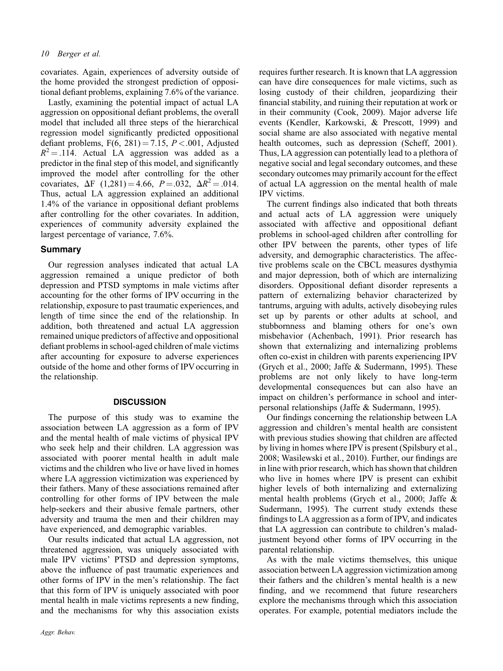covariates. Again, experiences of adversity outside of the home provided the strongest prediction of oppositional defiant problems, explaining 7.6% of the variance.

Lastly, examining the potential impact of actual LA aggression on oppositional defiant problems, the overall model that included all three steps of the hierarchical regression model significantly predicted oppositional defiant problems,  $F(6, 281) = 7.15$ ,  $P < .001$ , Adjusted  $R^2 = .114$ . Actual LA aggression was added as a predictor in the final step of this model, and significantly improved the model after controlling for the other covariates,  $\Delta F$  (1,281) = 4.66,  $P = .032$ ,  $\Delta R^2 = .014$ . Thus, actual LA aggression explained an additional 1.4% of the variance in oppositional defiant problems after controlling for the other covariates. In addition, experiences of community adversity explained the largest percentage of variance, 7.6%.

## Summary

Our regression analyses indicated that actual LA aggression remained a unique predictor of both depression and PTSD symptoms in male victims after accounting for the other forms of IPV occurring in the relationship, exposure to past traumatic experiences, and length of time since the end of the relationship. In addition, both threatened and actual LA aggression remained unique predictors of affective and oppositional defiant problems in school-aged children of male victims after accounting for exposure to adverse experiences outside of the home and other forms of IPV occurring in the relationship.

### **DISCUSSION**

The purpose of this study was to examine the association between LA aggression as a form of IPV and the mental health of male victims of physical IPV who seek help and their children. LA aggression was associated with poorer mental health in adult male victims and the children who live or have lived in homes where LA aggression victimization was experienced by their fathers. Many of these associations remained after controlling for other forms of IPV between the male help-seekers and their abusive female partners, other adversity and trauma the men and their children may have experienced, and demographic variables.

Our results indicated that actual LA aggression, not threatened aggression, was uniquely associated with male IPV victims' PTSD and depression symptoms, above the influence of past traumatic experiences and other forms of IPV in the men's relationship. The fact that this form of IPV is uniquely associated with poor mental health in male victims represents a new finding, and the mechanisms for why this association exists

requires further research. It is known that LA aggression can have dire consequences for male victims, such as losing custody of their children, jeopardizing their financial stability, and ruining their reputation at work or in their community (Cook, 2009). Major adverse life events (Kendler, Karkowski, & Prescott, 1999) and social shame are also associated with negative mental health outcomes, such as depression (Scheff, 2001). Thus, LA aggression can potentially lead to a plethora of negative social and legal secondary outcomes, and these secondary outcomes may primarily account for the effect of actual LA aggression on the mental health of male IPV victims.

The current findings also indicated that both threats and actual acts of LA aggression were uniquely associated with affective and oppositional defiant problems in school-aged children after controlling for other IPV between the parents, other types of life adversity, and demographic characteristics. The affective problems scale on the CBCL measures dysthymia and major depression, both of which are internalizing disorders. Oppositional defiant disorder represents a pattern of externalizing behavior characterized by tantrums, arguing with adults, actively disobeying rules set up by parents or other adults at school, and stubbornness and blaming others for one's own misbehavior (Achenbach, 1991). Prior research has shown that externalizing and internalizing problems often co-exist in children with parents experiencing IPV (Grych et al., 2000; Jaffe & Sudermann, 1995). These problems are not only likely to have long-term developmental consequences but can also have an impact on children's performance in school and interpersonal relationships (Jaffe & Sudermann, 1995).

Our findings concerning the relationship between LA aggression and children's mental health are consistent with previous studies showing that children are affected by living in homes where IPV is present (Spilsbury et al., 2008; Wasilewski et al., 2010). Further, our findings are in line with prior research, which has shown that children who live in homes where IPV is present can exhibit higher levels of both internalizing and externalizing mental health problems (Grych et al., 2000; Jaffe & Sudermann, 1995). The current study extends these findings to LA aggression as a form of IPV, and indicates that LA aggression can contribute to children's maladjustment beyond other forms of IPV occurring in the parental relationship.

As with the male victims themselves, this unique association between LA aggression victimization among their fathers and the children's mental health is a new finding, and we recommend that future researchers explore the mechanisms through which this association operates. For example, potential mediators include the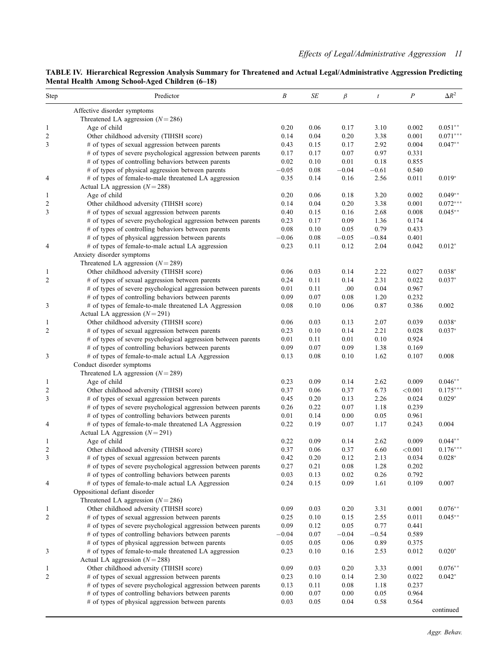| Step                    | Predictor                                                     | $\boldsymbol{B}$ | $\cal SE$ | $\beta$ | $\boldsymbol{t}$ | $\boldsymbol{P}$ | $\Delta R^2$ |
|-------------------------|---------------------------------------------------------------|------------------|-----------|---------|------------------|------------------|--------------|
|                         | Affective disorder symptoms                                   |                  |           |         |                  |                  |              |
|                         | Threatened LA aggression $(N=286)$                            |                  |           |         |                  |                  |              |
| 1                       | Age of child                                                  | 0.20             | 0.06      | 0.17    | 3.10             | 0.002            | $0.051**$    |
| $\overline{\mathbf{c}}$ | Other childhood adversity (TIHSH score)                       | 0.14             | 0.04      | 0.20    | 3.38             | 0.001            | $0.071***$   |
| 3                       | # of types of sexual aggression between parents               | 0.43             | 0.15      | 0.17    | 2.92             | 0.004            | $0.047**$    |
|                         | # of types of severe psychological aggression between parents | 0.17             | 0.17      | 0.07    | 0.97             | 0.331            |              |
|                         | # of types of controlling behaviors between parents           | 0.02             | 0.10      | 0.01    | 0.18             | 0.855            |              |
|                         | # of types of physical aggression between parents             | $-0.05$          | 0.08      | $-0.04$ | $-0.61$          | 0.540            |              |
| 4                       | # of types of female-to-male threatened LA aggression         | 0.35             | 0.14      | 0.16    | 2.56             | 0.011            | $0.019*$     |
|                         | Actual LA aggression $(N=288)$                                |                  |           |         |                  |                  |              |
| 1                       | Age of child                                                  | 0.20             | 0.06      | 0.18    | 3.20             | 0.002            | $0.049**$    |
| $\boldsymbol{2}$        | Other childhood adversity (TIHSH score)                       | 0.14             | 0.04      | 0.20    | 3.38             | 0.001            | $0.072***$   |
| 3                       | # of types of sexual aggression between parents               | 0.40             | 0.15      | 0.16    | 2.68             | 0.008            | $0.045**$    |
|                         | # of types of severe psychological aggression between parents | 0.23             | 0.17      | 0.09    | 1.36             | 0.174            |              |
|                         | # of types of controlling behaviors between parents           | 0.08             | 0.10      | 0.05    | 0.79             | 0.433            |              |
|                         | # of types of physical aggression between parents             | $-0.06$          | 0.08      | $-0.05$ | $-0.84$          | 0.401            |              |
| 4                       | # of types of female-to-male actual LA aggression             | 0.23             | 0.11      | 0.12    | 2.04             | 0.042            | $0.012*$     |
|                         | Anxiety disorder symptoms                                     |                  |           |         |                  |                  |              |
|                         | Threatened LA aggression $(N = 289)$                          |                  |           |         |                  |                  |              |
| 1                       | Other childhood adversity (TIHSH score)                       | 0.06             | 0.03      | 0.14    | 2.22             | 0.027            | $0.038*$     |
| $\boldsymbol{2}$        | # of types of sexual aggression between parents               | 0.24             | 0.11      | 0.14    | 2.31             | 0.022            | $0.037*$     |
|                         | # of types of severe psychological aggression between parents | 0.01             | 0.11      | .00     | 0.04             | 0.967            |              |
|                         | # of types of controlling behaviors between parents           | 0.09             | 0.07      | 0.08    | 1.20             | 0.232            |              |
| 3                       | # of types of female-to-male threatened LA Aggression         | 0.08             | 0.10      | 0.06    | 0.87             | 0.386            | 0.002        |
|                         | Actual LA aggression $(N=291)$                                |                  |           |         |                  |                  |              |
| 1                       | Other childhood adversity (TIHSH score)                       | 0.06             | 0.03      | 0.13    | 2.07             | 0.039            | $0.038*$     |
| 2                       | # of types of sexual aggression between parents               | 0.23             | 0.10      | 0.14    | 2.21             | 0.028            | $0.037*$     |
|                         | # of types of severe psychological aggression between parents | 0.01             | 0.11      | 0.01    | 0.10             | 0.924            |              |
|                         | # of types of controlling behaviors between parents           | 0.09             | 0.07      | 0.09    | 1.38             | 0.169            |              |
| 3                       | # of types of female-to-male actual LA Aggression             | 0.13             | 0.08      | 0.10    | 1.62             | 0.107            | 0.008        |
|                         | Conduct disorder symptoms                                     |                  |           |         |                  |                  |              |
|                         | Threatened LA aggression $(N=289)$                            |                  |           |         |                  |                  |              |
| 1                       | Age of child                                                  | 0.23             | 0.09      | 0.14    | 2.62             | 0.009            | $0.046**$    |
| $\overline{\mathbf{c}}$ | Other childhood adversity (TIHSH score)                       | 0.37             | 0.06      | 0.37    | 6.73             | < 0.001          | $0.175***$   |
| 3                       | # of types of sexual aggression between parents               | 0.45             | 0.20      | 0.13    | 2.26             | 0.024            | $0.029*$     |
|                         | # of types of severe psychological aggression between parents | 0.26             | 0.22      | 0.07    | 1.18             | 0.239            |              |
|                         | # of types of controlling behaviors between parents           | 0.01             | 0.14      | 0.00    | 0.05             | 0.961            |              |
| 4                       | # of types of female-to-male threatened LA Aggression         | 0.22             | 0.19      | 0.07    | 1.17             | 0.243            | 0.004        |
|                         | Actual LA Aggression $(N = 291)$                              |                  |           |         |                  |                  |              |
| $\mathbf{1}$            | Age of child                                                  | 0.22             | 0.09      | 0.14    | 2.62             | 0.009            | $0.044**$    |
| $\boldsymbol{2}$        | Other childhood adversity (TIHSH score)                       | 0.37             | 0.06      | 0.37    | 6.60             | < 0.001          | $0.176***$   |
| 3                       | # of types of sexual aggression between parents               | 0.42             | 0.20      | 0.12    | 2.13             | 0.034            | $0.028*$     |
|                         | # of types of severe psychological aggression between parents | 0.27             | 0.21      | 0.08    | 1.28             | 0.202            |              |
|                         | # of types of controlling behaviors between parents           | 0.03             | 0.13      | 0.02    | 0.26             | 0.792            |              |
| 4                       | # of types of female-to-male actual LA Aggression             | 0.24             | 0.15      | 0.09    | 1.61             | 0.109            | 0.007        |
|                         | Oppositional defiant disorder                                 |                  |           |         |                  |                  |              |
|                         | Threatened LA aggression $(N=286)$                            |                  |           |         |                  |                  |              |
| 1                       | Other childhood adversity (TIHSH score)                       | 0.09             | 0.03      | 0.20    | 3.31             | 0.001            | $0.076**$    |
| 2                       | # of types of sexual aggression between parents               | 0.25             | 0.10      | 0.15    | 2.55             | 0.011            | $0.045**$    |
|                         | # of types of severe psychological aggression between parents | 0.09             | 0.12      | 0.05    | 0.77             | 0.441            |              |
|                         | # of types of controlling behaviors between parents           | $-0.04$          | 0.07      | $-0.04$ | $-0.54$          | 0.589            |              |
|                         | # of types of physical aggression between parents             | 0.05             | 0.05      | 0.06    | 0.89             | 0.375            |              |
| 3                       | # of types of female-to-male threatened LA aggression         | 0.23             | 0.10      | 0.16    | 2.53             | 0.012            | $0.020*$     |
|                         | Actual LA aggression $(N=288)$                                |                  |           |         |                  |                  |              |
| 1                       | Other childhood adversity (TIHSH score)                       | 0.09             | 0.03      | 0.20    | 3.33             | 0.001            | $0.076**$    |
| $\overline{c}$          | # of types of sexual aggression between parents               | 0.23             | 0.10      | 0.14    | 2.30             | 0.022            | $0.042*$     |
|                         | # of types of severe psychological aggression between parents | 0.13             | 0.11      | 0.08    | 1.18             | 0.237            |              |
|                         | # of types of controlling behaviors between parents           | 0.00             | 0.07      | 0.00    | 0.05             | 0.964            |              |
|                         | # of types of physical aggression between parents             | 0.03             | 0.05      | 0.04    | 0.58             | 0.564            |              |
|                         |                                                               |                  |           |         |                  |                  | continued    |

| TABLE IV. Hierarchical Regression Analysis Summary for Threatened and Actual Legal/Administrative Aggression Predicting |  |  |  |
|-------------------------------------------------------------------------------------------------------------------------|--|--|--|
| Mental Health Among School-Aged Children (6–18)                                                                         |  |  |  |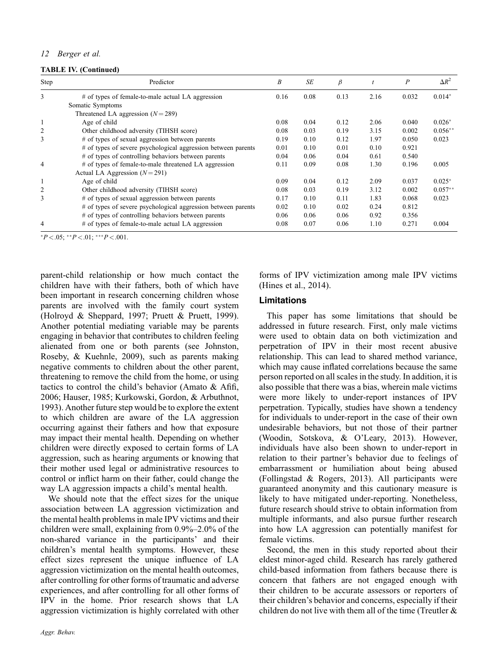#### 12 Berger et al.

TABLE IV. (Continued)

| Step           | Predictor                                                     | B    | SE   | β    |      | $\boldsymbol{P}$ | $\Delta R^2$ |
|----------------|---------------------------------------------------------------|------|------|------|------|------------------|--------------|
| 3              | # of types of female-to-male actual LA aggression             | 0.16 | 0.08 | 0.13 | 2.16 | 0.032            | $0.014*$     |
|                | Somatic Symptoms                                              |      |      |      |      |                  |              |
|                | Threatened LA aggression $(N=289)$                            |      |      |      |      |                  |              |
|                | Age of child                                                  | 0.08 | 0.04 | 0.12 | 2.06 | 0.040            | $0.026*$     |
| 2              | Other childhood adversity (TIHSH score)                       | 0.08 | 0.03 | 0.19 | 3.15 | 0.002            | $0.056**$    |
| 3              | # of types of sexual aggression between parents               | 0.19 | 0.10 | 0.12 | 1.97 | 0.050            | 0.023        |
|                | # of types of severe psychological aggression between parents | 0.01 | 0.10 | 0.01 | 0.10 | 0.921            |              |
|                | # of types of controlling behaviors between parents           | 0.04 | 0.06 | 0.04 | 0.61 | 0.540            |              |
| $\overline{4}$ | # of types of female-to-male threatened LA aggression         | 0.11 | 0.09 | 0.08 | 1.30 | 0.196            | 0.005        |
|                | Actual LA Aggression $(N=291)$                                |      |      |      |      |                  |              |
|                | Age of child                                                  | 0.09 | 0.04 | 0.12 | 2.09 | 0.037            | $0.025*$     |
| 2              | Other childhood adversity (TIHSH score)                       | 0.08 | 0.03 | 0.19 | 3.12 | 0.002            | $0.057**$    |
| 3              | # of types of sexual aggression between parents               | 0.17 | 0.10 | 0.11 | 1.83 | 0.068            | 0.023        |
|                | # of types of severe psychological aggression between parents | 0.02 | 0.10 | 0.02 | 0.24 | 0.812            |              |
|                | # of types of controlling behaviors between parents           | 0.06 | 0.06 | 0.06 | 0.92 | 0.356            |              |
| $\overline{4}$ | # of types of female-to-male actual LA aggression             | 0.08 | 0.07 | 0.06 | 1.10 | 0.271            | 0.004        |

 $*P < .05; **P < .01; **P < .001.$ 

parent-child relationship or how much contact the children have with their fathers, both of which have been important in research concerning children whose parents are involved with the family court system (Holroyd & Sheppard, 1997; Pruett & Pruett, 1999). Another potential mediating variable may be parents engaging in behavior that contributes to children feeling alienated from one or both parents (see Johnston, Roseby, & Kuehnle, 2009), such as parents making negative comments to children about the other parent, threatening to remove the child from the home, or using tactics to control the child's behavior (Amato & Afifi, 2006; Hauser, 1985; Kurkowski, Gordon, & Arbuthnot, 1993). Another future step would be to explore the extent to which children are aware of the LA aggression occurring against their fathers and how that exposure may impact their mental health. Depending on whether children were directly exposed to certain forms of LA aggression, such as hearing arguments or knowing that their mother used legal or administrative resources to control or inflict harm on their father, could change the way LA aggression impacts a child's mental health.

We should note that the effect sizes for the unique association between LA aggression victimization and the mental health problems in male IPV victims and their children were small, explaining from 0.9%–2.0% of the non-shared variance in the participants' and their children's mental health symptoms. However, these effect sizes represent the unique influence of LA aggression victimization on the mental health outcomes, after controlling for other forms of traumatic and adverse experiences, and after controlling for all other forms of IPV in the home. Prior research shows that LA aggression victimization is highly correlated with other

forms of IPV victimization among male IPV victims (Hines et al., 2014).

## Limitations

This paper has some limitations that should be addressed in future research. First, only male victims were used to obtain data on both victimization and perpetration of IPV in their most recent abusive relationship. This can lead to shared method variance, which may cause inflated correlations because the same person reported on all scales in the study. In addition, it is also possible that there was a bias, wherein male victims were more likely to under-report instances of IPV perpetration. Typically, studies have shown a tendency for individuals to under-report in the case of their own undesirable behaviors, but not those of their partner (Woodin, Sotskova, & O'Leary, 2013). However, individuals have also been shown to under-report in relation to their partner's behavior due to feelings of embarrassment or humiliation about being abused (Follingstad & Rogers, 2013). All participants were guaranteed anonymity and this cautionary measure is likely to have mitigated under-reporting. Nonetheless, future research should strive to obtain information from multiple informants, and also pursue further research into how LA aggression can potentially manifest for female victims.

Second, the men in this study reported about their eldest minor-aged child. Research has rarely gathered child-based information from fathers because there is concern that fathers are not engaged enough with their children to be accurate assessors or reporters of their children's behavior and concerns, especially if their children do not live with them all of the time (Treutler &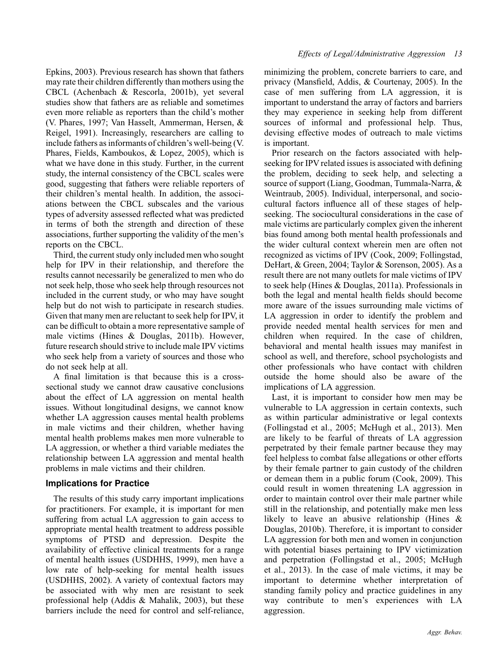Epkins, 2003). Previous research has shown that fathers may rate their children differently than mothers using the CBCL (Achenbach & Rescorla, 2001b), yet several studies show that fathers are as reliable and sometimes even more reliable as reporters than the child's mother (V. Phares, 1997; Van Hasselt, Ammerman, Hersen, & Reigel, 1991). Increasingly, researchers are calling to include fathers as informants of children's well-being (V. Phares, Fields, Kamboukos, & Lopez, 2005), which is what we have done in this study. Further, in the current study, the internal consistency of the CBCL scales were good, suggesting that fathers were reliable reporters of their children's mental health. In addition, the associations between the CBCL subscales and the various types of adversity assessed reflected what was predicted in terms of both the strength and direction of these associations, further supporting the validity of the men's reports on the CBCL.

Third, the current study only included men who sought help for IPV in their relationship, and therefore the results cannot necessarily be generalized to men who do not seek help, those who seek help through resources not included in the current study, or who may have sought help but do not wish to participate in research studies. Given that many men are reluctant to seek help for IPV, it can be difficult to obtain a more representative sample of male victims (Hines & Douglas, 2011b). However, future research should strive to include male IPV victims who seek help from a variety of sources and those who do not seek help at all.

A final limitation is that because this is a crosssectional study we cannot draw causative conclusions about the effect of LA aggression on mental health issues. Without longitudinal designs, we cannot know whether LA aggression causes mental health problems in male victims and their children, whether having mental health problems makes men more vulnerable to LA aggression, or whether a third variable mediates the relationship between LA aggression and mental health problems in male victims and their children.

# Implications for Practice

The results of this study carry important implications for practitioners. For example, it is important for men suffering from actual LA aggression to gain access to appropriate mental health treatment to address possible symptoms of PTSD and depression. Despite the availability of effective clinical treatments for a range of mental health issues (USDHHS, 1999), men have a low rate of help-seeking for mental health issues (USDHHS, 2002). A variety of contextual factors may be associated with why men are resistant to seek professional help (Addis & Mahalik, 2003), but these barriers include the need for control and self-reliance, minimizing the problem, concrete barriers to care, and privacy (Mansfield, Addis, & Courtenay, 2005). In the case of men suffering from LA aggression, it is important to understand the array of factors and barriers they may experience in seeking help from different sources of informal and professional help. Thus, devising effective modes of outreach to male victims is important.

Prior research on the factors associated with helpseeking for IPV related issues is associated with defining the problem, deciding to seek help, and selecting a source of support (Liang, Goodman, Tummala-Narra, & Weintraub, 2005). Individual, interpersonal, and sociocultural factors influence all of these stages of helpseeking. The sociocultural considerations in the case of male victims are particularly complex given the inherent bias found among both mental health professionals and the wider cultural context wherein men are often not recognized as victims of IPV (Cook, 2009; Follingstad, DeHart, & Green, 2004; Taylor & Sorenson, 2005). As a result there are not many outlets for male victims of IPV to seek help (Hines & Douglas, 2011a). Professionals in both the legal and mental health fields should become more aware of the issues surrounding male victims of LA aggression in order to identify the problem and provide needed mental health services for men and children when required. In the case of children, behavioral and mental health issues may manifest in school as well, and therefore, school psychologists and other professionals who have contact with children outside the home should also be aware of the implications of LA aggression.

Last, it is important to consider how men may be vulnerable to LA aggression in certain contexts, such as within particular administrative or legal contexts (Follingstad et al., 2005; McHugh et al., 2013). Men are likely to be fearful of threats of LA aggression perpetrated by their female partner because they may feel helpless to combat false allegations or other efforts by their female partner to gain custody of the children or demean them in a public forum (Cook, 2009). This could result in women threatening LA aggression in order to maintain control over their male partner while still in the relationship, and potentially make men less likely to leave an abusive relationship (Hines & Douglas, 2010b). Therefore, it is important to consider LA aggression for both men and women in conjunction with potential biases pertaining to IPV victimization and perpetration (Follingstad et al., 2005; McHugh et al., 2013). In the case of male victims, it may be important to determine whether interpretation of standing family policy and practice guidelines in any way contribute to men's experiences with LA aggression.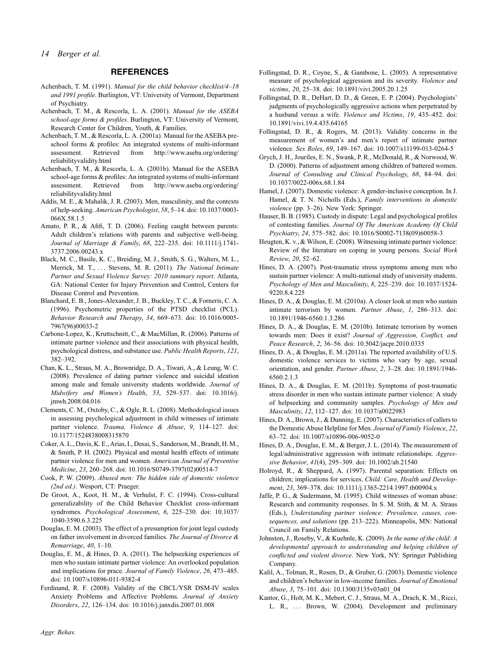#### **REFERENCES**

- Achenbach, T. M. (1991). Manual for the child behavior checklist/4–18 and 1991 profile. Burlington, VT: University of Vermont, Department of Psychiatry.
- Achenbach, T. M., & Rescorla, L. A. (2001). Manual for the ASEBA school-age forms & profiles. Burlington, VT: University of Vermont, Research Center for Children, Youth, & Families.
- Achenbach, T. M., & Rescorla, L. A. (2001a). Manual for the ASEBA preschool forms & profiles: An integrated systems of multi-informant assessment. Retrieved from [http://www.aseba.org/ordering/](http://www.aseba.org/ordering/reliabilityvalidity.html) [reliabilityvalidity.html](http://www.aseba.org/ordering/reliabilityvalidity.html)
- Achenbach, T. M., & Rescorla, L. A. (2001b). Manual for the ASEBA school-age forms & profiles: An integrated systems of multi-informant assessment. Retrieved from [http://www.aseba.org/ordering/](http://www.aseba.org/ordering/reliabilityvalidity.html) [reliabilityvalidity.html](http://www.aseba.org/ordering/reliabilityvalidity.html)
- Addis, M. E., & Mahalik, J. R. (2003). Men, masculinity, and the contexts of help-seeking. American Psychologist, 58, 5–14. doi: 10.1037/0003- 066X.58.1.5
- Amato, P. R., & Afifi, T. D. (2006). Feeling caught between parents: Adult children's relations with parents and subjective well-being. Journal of Marriage & Family, 68, 222–235. doi: 10.1111/j.1741- 3737.2006.00243.x
- Black, M. C., Basile, K. C., Breiding, M. J., Smith, S. G., Walters, M. L., Merrick, M. T., ... Stevens, M. R. (2011). The National Intimate Partner and Sexual Violence Survey: 2010 summary report. Atlanta, GA: National Center for Injury Prevention and Control, Centers for Disease Control and Prevention.
- Blanchard, E. B., Jones-Alexander, J. B., Buckley, T. C., & Forneris, C. A. (1996). Psychometric properties of the PTSD checklist (PCL). Behavior Research and Therapy, 34, 669–673. doi: 10.1016/0005- 7967(96)00033-2
- Carbone-Lopez, K., Kruttschnitt, C., & MacMillan, R. (2006). Patterns of intimate partner violence and their associations with physical health, psychological distress, and substance use. Public Health Reports, 121, 382–392.
- Chan, K. L., Straus, M. A., Brownridge, D. A., Tiwari, A., & Leung, W. C. (2008). Prevalence of dating partner violence and suicidal ideation among male and female university students worldwide. Journal of Midwifery and Women's Health, 53, 529–537. doi: 10.1016/j. jmwh.2008.04.016
- Clements, C. M., Oxtoby, C., & Ogle, R. L. (2008). Methodological issues in assessing psychological adjustment in child witnesses of intimate partner violence. Trauma, Violence & Abuse, 9, 114–127. doi: 10.1177/1524838008315870
- Coker, A. L., Davis, K. E., Arias, I., Desai, S., Sanderson, M., Brandt, H.M., & Smith, P. H. (2002). Physical and mental health effects of intimate partner violence for men and women. American Journal of Preventive Medicine, 23, 260–268. doi: 10.1016/S0749-3797(02)00514-7
- Cook, P. W. (2009). Abused men: The hidden side of domestic violence (2nd ed.). Wesport, CT: Praeger.
- De Groot, A., Koot, H. M., & Verhulst, F. C. (1994). Cross-cultural generalizability of the Child Behavior Checklist cross-informant syndromes. Psychological Assessment, 6, 225–230. doi: 10.1037/ 1040-3590.6.3.225
- Douglas, E. M. (2003). The effect of a presumption for joint legal custody on father involvement in divorced families. The Journal of Divorce & Remarriage, 40, 1–10.
- Douglas, E. M., & Hines, D. A. (2011). The helpseeking experiences of men who sustain intimate partner violence: An overlooked population and implications for prace. Journal of Family Violence, 26, 473–485. doi: 10.1007/s10896-011-9382-4
- Ferdinand, R. F. (2008). Validity of the CBCL/YSR DSM-IV scales Anxiety Problems and Affective Problems. Journal of Anxiety Disorders, 22, 126–134. doi: 10.1016/j.janxdis.2007.01.008

Follingstad, D. R., & Rogers, M. (2013). Validity concerns in the measurement of women's and men's report of intimate partner violence. Sex Roles, 69, 149–167. doi: 10.1007/s11199-013-0264-5

10.1891/vivi.19.4.435.64165

Grych, J. H., Jouriles, E. N., Swank, P. R., McDonald, R., & Norwood, W. D. (2000). Patterns of adjustment among children of battered women. Journal of Consulting and Clinical Psychology, 68, 84–94. doi: 10.1037/0022-006x.68.1.84

Follingstad, D. R., Coyne, S., & Gambone, L. (2005). A representative measure of psychological aggression and its severity. Violence and

Follingstad, D. R., DeHart, D. D., & Green, E. P. (2004). Psychologists' judgments of psychologically aggressive actions when perpetrated by a husband versus a wife. Violence and Victims, 19, 435–452. doi:

victims, 20, 25–38. doi: 10.1891/vivi.2005.20.1.25

- Hamel, J. (2007). Domestic violence: A gender-inclusive conception. In J. Hamel, & T. N. Nicholls (Eds.), Family interventions in domestic violence (pp. 3–26). New York: Springer.
- Hauser, B. B. (1985). Custody in dispute: Legal and psychological profiles of contesting families. Journal Of The American Academy Of Child Psychiatry, 24, 575–582. doi: 10.1016/S0002-7138(09)60058-3
- Heugten, K. v., & Wilson, E. (2008). Witnessing intimate partner violence: Review of the literature on coping in young persons. Social Work Review, 20, 52–62.
- Hines, D. A. (2007). Post-traumatic stress symptoms among men who sustain partner violence: A multi-national study of university students. Psychology of Men and Masculinity, 8, 225–239. doi: 10.1037/1524- 9220.8.4.225
- Hines, D. A., & Douglas, E. M. (2010a). A closer look at men who sustain intimate terrorism by women. Partner Abuse, 1, 286–313. doi: 10.1891/1946-6560.1.3.286
- Hines, D. A., & Douglas, E. M. (2010b). Intimate terrorism by women towards men: Does it exist? Journal of Aggression, Conflict, and Peace Research, 2, 36–56. doi: 10.5042/jacpr.2010.0335
- Hines, D. A., & Douglas, E. M. (2011a). The reported availability of U.S. domestic violence services to victims who vary by age, sexual orientation, and gender. Partner Abuse, 2, 3–28. doi: 10.1891/1946- 6560.2.1.3
- Hines, D. A., & Douglas, E. M. (2011b). Symptoms of post-traumatic stress disorder in men who sustain intimate partner violence: A study of helpseeking and community samples. Psychology of Men and Masculinity, 12, 112–127. doi: 10.1037/a0022983
- Hines, D. A., Brown, J., & Dunning, E. (2007). Characteristics of callers to the Domestic Abuse Helpline for Men. Journal of Family Violence, 22, 63–72. doi: 10.1007/s10896-006-9052-0
- Hines, D. A., Douglas, E. M., & Berger, J. L. (2014). The measurement of legal/administrative aggression with intimate relationships. Aggressive Behavior, 41(4), 295–309. doi: 10.1002/ab.21540
- Holroyd, R., & Sheppard, A. (1997). Parental separation: Effects on children; implications for services. Child: Care, Health and Development, 23, 369–378. doi: 10.1111/j.1365-2214.1997.tb00904.x
- Jaffe, P. G., & Sudermann, M. (1995). Child witnesses of woman abuse: Research and community responses. In S. M. Stith, & M. A. Straus (Eds.), Understanding partner violence: Prevalence, causes, consequences, and solutions (pp. 213–222). Minneapolis, MN: National Council on Family Relations.
- Johnston, J., Roseby, V., & Kuehnle, K. (2009). In the name of the child: A developmental approach to understanding and helping children of conflicted and violent divorce. New York, NY: Springer Publishing Company.
- Kalil, A., Tolman, R., Rosen, D., & Gruber, G. (2003). Domestic violence and children's behavior in low-income families. Journal of Emotional Abuse, 3, 75–101. doi: 10.1300/J135v03n01\_04
- Kantor, G., Holt, M. K., Mebert, C. J., Straus, M. A., Drach, K. M., Ricci, L. R., ... Brown, W. (2004). Development and preliminary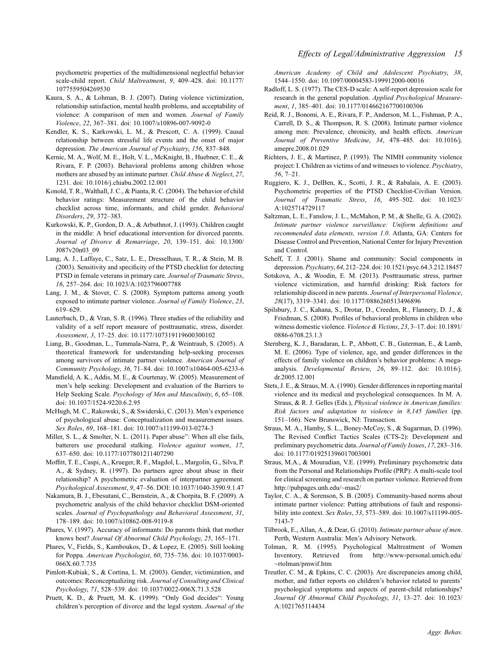psychometric properties of the multidimensional neglectful behavior scale-child report. Child Maltreatment, 9, 409–428. doi: 10.1177/ 1077559504269530

- Kaura, S. A., & Lohman, B. J. (2007). Dating violence victimization, relationship satisfaction, mental health problems, and acceptability of violence: A comparison of men and women. Journal of Family Violence, 22, 367–381. doi: 10.1007/s10896-007-9092-0
- Kendler, K. S., Karkowski, L. M., & Prescott, C. A. (1999). Causal relationship between stressful life events and the onset of major depression. The American Journal of Psychiatry, 156, 837–848.
- Kernic, M. A., Wolf, M. E., Holt, V. L., McKnight, B., Huebner, C. E., & Rivara, F. P. (2003). Behavioral problems among children whose mothers are abused by an intimate partner. Child Abuse & Neglect, 27, 1231. doi: 10.1016/j.chiabu.2002.12.001
- Konold, T. R., Walthall, J. C., & Pianta, R. C. (2004). The behavior of child behavior ratings: Measurement structure of the child behavior checklist across time, informants, and child gender. Behavioral Disorders, 29, 372–383.
- Kurkowski, K. P., Gordon, D. A., & Arbuthnot, J. (1993). Children caught in the middle: A brief educational intervention for divorced parents. Journal of Divorce & Remarriage, 20, 139–151. doi: 10.1300/ J087v20n03\_09
- Lang, A. J., Laffaye, C., Satz, L. E., Dresselhaus, T. R., & Stein, M. B. (2003). Sensitivity and specificity of the PTSD checklist for detecting PTSD in female veterans in primary care. Journal of Traumatic Stress, 16, 257–264. doi: 10.1023/A:1023796007788
- Lang, J. M., & Stover, C. S. (2008). Symptom patterns among youth exposed to intimate partner violence. Journal of Family Violence, 23, 619–629.
- Lauterbach, D., & Vran, S. R. (1996). Three studies of the reliability and validity of a self report measure of posttraumatic, stress, disorder. Assessment, 3, 17–25. doi: 10.1177/107319119600300102
- Liang, B., Goodman, L., Tummala-Narra, P., & Weintraub, S. (2005). A theoretical framework for understanding help-seeking processes among survivors of intimate partner violence. American Journal of Community Psychology, 36, 71–84. doi: 10.1007/s10464-005-6233-6
- Mansfield, A. K., Addis, M. E., & Courtenay, W. (2005). Measurement of men's help seeking: Development and evaluation of the Barriers to Help Seeking Scale. Psychology of Men and Masculinity, 6, 65–108. doi: 10.1037/1524-9220.6.2.95
- McHugh, M. C., Rakowski, S., & Swiderski, C. (2013). Men's experience of psychological abuse: Conceptualization and measurement issues. Sex Roles, 69, 168–181. doi: 10.1007/s11199-013-0274-3
- Miller, S. L., & Smolter, N. L. (2011). Paper abuse": When all else fails, batterers use procedural stalking. Violence against women, 17, 637–650. doi: 10.1177/1077801211407290
- Moffitt, T. E., Caspi, A., Krueger, R. F., Magdol, L., Margolin, G., Silva, P. A., & Sydney, R. (1997). Do partners agree about abuse in their relationship? A psychometric evaluation of interpartner agreement. Psychological Assessment, 9, 47–56. DOI: 10.1037/1040-3590.9.1.47
- Nakamura, B. J., Ebesutani, C., Bernstein, A., & Chorpita, B. F. (2009). A psychometric analysis of the child behavior checklist DSM-oriented scales. Journal of Psychopathology and Behavioral Assessment, 31, 178–189. doi: 10.1007/s10862-008-9119-8
- Phares, V. (1997). Accuracy of informants: Do parents think that mother knows best? Journal Of Abnormal Child Psychology, 25, 165–171.
- Phares, V., Fields, S., Kamboukos, D., & Lopez, E. (2005). Still looking for Poppa. American Psychologist, 60, 735–736. doi: 10.1037/0003- 066X.60.7.735
- Pimlott-Kubiak, S., & Cortina, L. M. (2003). Gender, victimization, and outcomes: Reconceptualizing risk. Journal of Consulting and Clinical Psychology, 71, 528–539. doi: 10.1037/0022-006X.71.3.528
- Pruett, K. D., & Pruett, M. K. (1999). "Only God decides": Young children's perception of divorce and the legal system. Journal of the

American Academy of Child and Adolescent Psychiatry, 38, 1544–1550. doi: 10.1097/00004583-199912000-00016

- Radloff, L. S. (1977). The CES-D scale: A self-report depression scale for research in the general population. Applied Psychological Measurement, 1, 385–401. doi: 10.1177/014662167700100306
- Reid, R. J., Bonomi, A. E., Rivara, F. P., Anderson, M. L., Fishman, P. A., Carrell, D. S., & Thompson, R. S. (2008). Intimate partner violence among men: Prevalence, chronicity, and health effects. American Journal of Preventive Medicine, 34, 478–485. doi: 10.1016/j. amepre.2008.01.029
- Richters, J. E., & Martinez, P. (1993). The NIMH community violence project: I. Children as victims of and witnesses to violence. Psychiatry, 56, 7–21.
- Ruggiero, K. J., DelBen, K., Scotti, J. R., & Rabalais, A. E. (2003). Psychometric properties of the PTSD Checklist-Civilian Version. Journal of Traumatic Stress, 16, 495–502. doi: 10.1023/ A:1025714729117
- Saltzman, L. E., Fanslow, J. L., McMahon, P. M., & Shelle, G. A. (2002). Intimate partner violence surveillance: Uniform definitions and recommended data elements, version 1.0. Atlanta, GA: Centers for Disease Control and Prevention, National Center for Injury Prevention and Control.
- Scheff, T. J. (2001). Shame and community: Social components in depression.Psychiatry, 64, 212–224. doi: 10.1521/psyc.64.3.212.18457
- Sotskova, A., & Woodin, E. M. (2013). Posttraumatic stress, partner violence victimization, and harmful drinking: Risk factors for relationship discord in new parents. Journal of Interpersonal Violence, 28(17), 3319–3341. doi: 10.1177/0886260513496896
- Spilsbury, J. C., Kahana, S., Drotar, D., Creeden, R., Flannery, D. J., & Friedman, S. (2008). Profiles of behavioral problems in children who witness domestic violence. Violence & Victims, 23, 3–17. doi: 10.1891/ 0886-6708.23.1.3
- Sternberg, K. J., Baradaran, L. P., Abbott, C. B., Guterman, E., & Lamb, M. E. (2006). Type of violence, age, and gender differences in the effects of family violence on children's behavior problems: A megaanalysis. Developmental Review, 26, 89–112. doi: 10.1016/j. dr.2005.12.001
- Stets, J. E., & Straus, M. A. (1990). Gender differences in reporting marital violence and its medical and psychological consequences. In M. A. Straus, & R. J. Gelles (Eds.), Physical violence in American families: Risk factors and adaptation to violence in 8,145 families (pp. 151–166). New Brunswick, NJ: Transaction.
- Straus, M. A., Hamby, S. L., Boney-McCoy, S., & Sugarman, D. (1996). The Revised Conflict Tactics Scales (CTS-2): Development and preliminary psychometric data. Journal of Family Issues, 17, 283–316. doi: 10.1177/019251396017003001
- Straus, M.A., & Mouradian, V.E. (1999). Preliminary psychometric data from the Personal and Relationships Profile (PRP): A multi-scale tool for clinical screening and research on partner violence. Retrieved from <http://pubpages.unh.edu/~mas2/>
- Taylor, C. A., & Sorenson, S. B. (2005). Community-based norms about intimate partner violence: Putting attributions of fault and responsibility into context. Sex Roles, 53, 573–589. doi: 10.1007/s11199-005- 7143-7
- Tilbrook, E., Allan, A., & Dear, G. (2010). Intimate partner abuse of men. Perth, Western Australia: Men's Advisory Network.
- Tolman, R. M. (1995). Psychological Maltreatment of Women Inventory. Retrieved from [http://www-personal.umich.edu/](http://www-personal.umich.edu/~rtolman/pmwif.htm) [~rtolman/pmwif.htm](http://www-personal.umich.edu/~rtolman/pmwif.htm)
- Treutler, C. M., & Epkins, C. C. (2003). Are discrepancies among child, mother, and father reports on children's behavior related to parents' psychological symptoms and aspects of parent-child relationships? Journal Of Abnormal Child Psychology, 31, 13–27. doi: 10.1023/ A:1021765114434